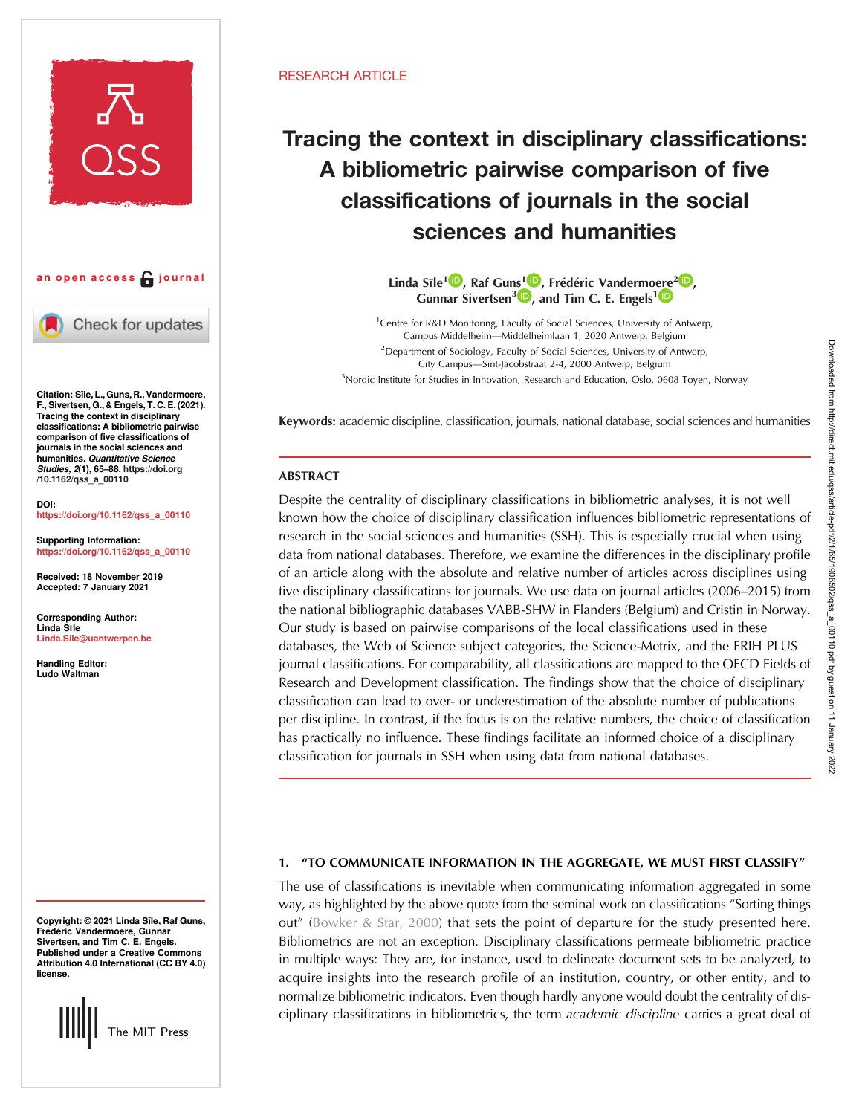

an open access  $\bigcap$  journal

Check for updates

Citation: Sīle, L., Guns, R., Vandermoere, F., Sivertsen, G., & Engels, T. C. E. (2021). Tracing the context in disciplinary classifications: A bibliometric pairwise comparison of five classifications of journals in the social sciences and **humanities. Quantitative Science** Studies, 2(1), 65–88. [https://doi.org](https://doi.org/10.1162/qss_a_00110) [/10.1162/qss\\_a\\_00110](https://doi.org/10.1162/qss_a_00110)

DOI: [https://doi.org/10.1162/qss\\_a\\_00110](https://doi.org/10.1162/qss_a_00110)

[Supporting Information:](https://publons.com/publon/10.1162/qss_a_00110) [https://doi.org/10.1162/qss\\_a\\_00110](https://doi.org/10.1162/qss_a_00110)

Received: 18 November 2019 Accepted: 7 January 2021

Corresponding Author: Linda Sıle [Linda.Sile@uantwerpen.be](mailto:Linda.Sile@uantwerpen.be)

Handling Editor: Ludo Waltman

Copyright: © 2021 Linda Sīle, Raf Guns, Frédéric Vandermoere, Gunnar Sivertsen, and Tim C. E. Engels. Published under a Creative Commons Attribution 4.0 International (CC BY 4.0) license.

The MIT Press

# RESEARCH ARTICLE

# Tracing the context in disciplinary classifications: A bibliometric pairwise comparison of five classifications of journals in the social sciences and humanities

Linda Sīle<sup>[1](https://orcid.org/0000-0003-1435-999X) (D</[s](https://orcid.org/0000-0003-1020-3189)up>)[,](https://orcid.org/0000-0003-3129-0330) Raf Guns<sup>1 (D</sup>), Frédéric Vandermo[ere](https://orcid.org/0000-0002-4869-7949)<sup>2 (D</sup>), Gunnar Sivertsen<sup>3</sup><sup>1</sup>, and Tim C. E. Engels<sup>1</sup>

<sup>1</sup> Centre for R&D Monitoring, Faculty of Social Sciences, University of Antwerp, Campus Middelheim—Middelheimlaan 1, 2020 Antwerp, Belgium <sup>2</sup>Department of Sociology, Faculty of Social Sciences, University of Antwerp, City Campus—Sint-Jacobstraat 2-4, 2000 Antwerp, Belgium <sup>3</sup>Nordic Institute for Studies in Innovation, Research and Education, Oslo, 0608 Toyen, Norway

Keywords: academic discipline, classification, journals, national database, social sciences and humanities

# **ABSTRACT**

Despite the centrality of disciplinary classifications in bibliometric analyses, it is not well known how the choice of disciplinary classification influences bibliometric representations of research in the social sciences and humanities (SSH). This is especially crucial when using data from national databases. Therefore, we examine the differences in the disciplinary profile of an article along with the absolute and relative number of articles across disciplines using five disciplinary classifications for journals. We use data on journal articles (2006–2015) from the national bibliographic databases VABB-SHW in Flanders (Belgium) and Cristin in Norway. Our study is based on pairwise comparisons of the local classifications used in these databases, the Web of Science subject categories, the Science-Metrix, and the ERIH PLUS journal classifications. For comparability, all classifications are mapped to the OECD Fields of Research and Development classification. The findings show that the choice of disciplinary classification can lead to over- or underestimation of the absolute number of publications per discipline. In contrast, if the focus is on the relative numbers, the choice of classification has practically no influence. These findings facilitate an informed choice of a disciplinary classification for journals in SSH when using data from national databases.

## 1. "TO COMMUNICATE INFORMATION IN THE AGGREGATE, WE MUST FIRST CLASSIFY"

The use of classifications is inevitable when communicating information aggregated in some way, as highlighted by the above quote from the seminal work on classifications "Sorting things out" [\(Bowker & Star, 2000\)](#page-21-0) that sets the point of departure for the study presented here. Bibliometrics are not an exception. Disciplinary classifications permeate bibliometric practice in multiple ways: They are, for instance, used to delineate document sets to be analyzed, to acquire insights into the research profile of an institution, country, or other entity, and to normalize bibliometric indicators. Even though hardly anyone would doubt the centrality of disciplinary classifications in bibliometrics, the term academic discipline carries a great deal of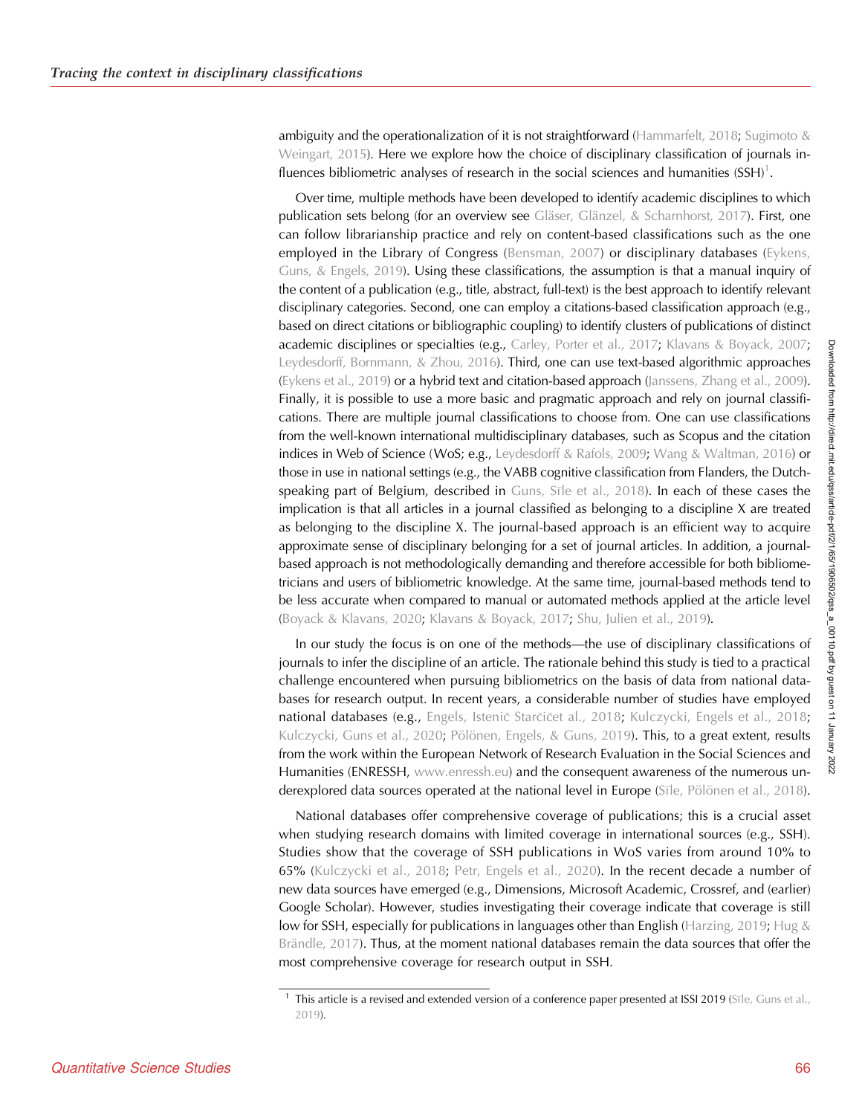ambiguity and the operationalization of it is not straightforward ([Hammarfelt, 2018](#page-22-0); Sugimoto  $\&$ [Weingart, 2015\)](#page-23-0). Here we explore how the choice of disciplinary classification of journals influences bibliometric analyses of research in the social sciences and humanities (SSH) $^1$ .

Over time, multiple methods have been developed to identify academic disciplines to which publication sets belong (for an overview see [Gläser, Glänzel, & Scharnhorst, 2017\)](#page-22-0). First, one can follow librarianship practice and rely on content-based classifications such as the one employed in the Library of Congress ([Bensman, 2007\)](#page-21-0) or disciplinary databases ([Eykens,](#page-22-0) [Guns, & Engels, 2019](#page-22-0)). Using these classifications, the assumption is that a manual inquiry of the content of a publication (e.g., title, abstract, full-text) is the best approach to identify relevant disciplinary categories. Second, one can employ a citations-based classification approach (e.g., based on direct citations or bibliographic coupling) to identify clusters of publications of distinct academic disciplines or specialties (e.g., [Carley, Porter et al., 2017;](#page-21-0) [Klavans & Boyack, 2007](#page-22-0); [Leydesdorff, Bornmann, & Zhou, 2016\)](#page-22-0). Third, one can use text-based algorithmic approaches [\(Eykens et al., 2019](#page-22-0)) or a hybrid text and citation-based approach ([Janssens, Zhang et al., 2009\)](#page-22-0). Finally, it is possible to use a more basic and pragmatic approach and rely on journal classifications. There are multiple journal classifications to choose from. One can use classifications from the well-known international multidisciplinary databases, such as Scopus and the citation indices in Web of Science (WoS; e.g., [Leydesdorff & Rafols, 2009](#page-23-0); [Wang & Waltman, 2016\)](#page-23-0) or those in use in national settings (e.g., the VABB cognitive classification from Flanders, the Dutchspeaking part of Belgium, described in [Guns, S](#page-22-0)ı[le et al., 2018](#page-22-0)). In each of these cases the implication is that all articles in a journal classified as belonging to a discipline X are treated as belonging to the discipline X. The journal-based approach is an efficient way to acquire approximate sense of disciplinary belonging for a set of journal articles. In addition, a journalbased approach is not methodologically demanding and therefore accessible for both bibliometricians and users of bibliometric knowledge. At the same time, journal-based methods tend to be less accurate when compared to manual or automated methods applied at the article level [\(Boyack & Klavans, 2020;](#page-21-0) [Klavans & Boyack, 2017;](#page-22-0) [Shu, Julien et al., 2019](#page-23-0)).

In our study the focus is on one of the methods—the use of disciplinary classifications of journals to infer the discipline of an article. The rationale behind this study is tied to a practical challenge encountered when pursuing bibliometrics on the basis of data from national databases for research output. In recent years, a considerable number of studies have employed national databases (e.g., Engels, Istenič Starčič[et al., 2018](#page-22-0); [Kulczycki, Engels et al., 2018](#page-22-0); [Kulczycki, Guns et al., 2020;](#page-22-0) [Pölönen, Engels, & Guns, 2019](#page-23-0)). This, to a great extent, results from the work within the European Network of Research Evaluation in the Social Sciences and Humanities (ENRESSH, [www.enressh.eu](http://www.enressh.eu)) and the consequent awareness of the numerous un-derexplored data sources operated at the national level in Europe [\(S](#page-23-0)ī[le, Pölönen et al., 2018\)](#page-23-0).

National databases offer comprehensive coverage of publications; this is a crucial asset when studying research domains with limited coverage in international sources (e.g., SSH). Studies show that the coverage of SSH publications in WoS varies from around 10% to 65% [\(Kulczycki et al., 2018;](#page-22-0) [Petr, Engels et al., 2020](#page-23-0)). In the recent decade a number of new data sources have emerged (e.g., Dimensions, Microsoft Academic, Crossref, and (earlier) Google Scholar). However, studies investigating their coverage indicate that coverage is still low for SSH, especially for publications in languages other than English ([Harzing, 2019;](#page-22-0) Hug  $\&$ [Brändle, 2017](#page-22-0)). Thus, at the moment national databases remain the data sources that offer the most comprehensive coverage for research output in SSH.

<sup>&</sup>lt;sup>1</sup> This article is a revised and extended version of a conference paper presented at I[S](#page-23-0)SI 2019 (Sī[le, Guns et al.,](#page-23-0) [2019](#page-23-0)).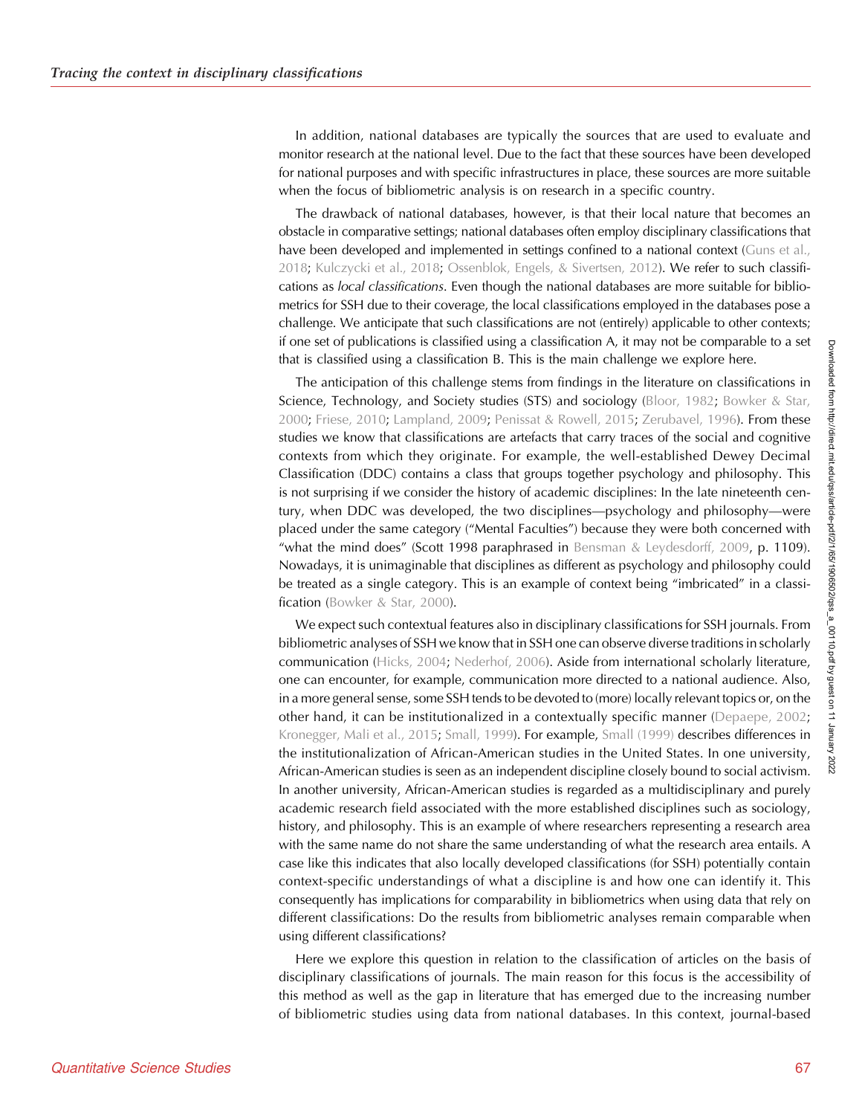In addition, national databases are typically the sources that are used to evaluate and monitor research at the national level. Due to the fact that these sources have been developed for national purposes and with specific infrastructures in place, these sources are more suitable when the focus of bibliometric analysis is on research in a specific country.

The drawback of national databases, however, is that their local nature that becomes an obstacle in comparative settings; national databases often employ disciplinary classifications that have been developed and implemented in settings confined to a national context ([Guns et al.,](#page-22-0) [2018;](#page-22-0) [Kulczycki et al., 2018](#page-22-0); [Ossenblok, Engels, & Sivertsen, 2012\)](#page-23-0). We refer to such classifications as local classifications. Even though the national databases are more suitable for bibliometrics for SSH due to their coverage, the local classifications employed in the databases pose a challenge. We anticipate that such classifications are not (entirely) applicable to other contexts; if one set of publications is classified using a classification A, it may not be comparable to a set that is classified using a classification B. This is the main challenge we explore here.

The anticipation of this challenge stems from findings in the literature on classifications in Science, Technology, and Society studies (STS) and sociology ([Bloor, 1982;](#page-21-0) [Bowker & Star,](#page-21-0) [2000;](#page-21-0) [Friese, 2010](#page-22-0); [Lampland, 2009](#page-22-0); [Penissat & Rowell, 2015;](#page-23-0) [Zerubavel, 1996](#page-23-0)). From these studies we know that classifications are artefacts that carry traces of the social and cognitive contexts from which they originate. For example, the well-established Dewey Decimal Classification (DDC) contains a class that groups together psychology and philosophy. This is not surprising if we consider the history of academic disciplines: In the late nineteenth century, when DDC was developed, the two disciplines—psychology and philosophy—were placed under the same category ("Mental Faculties") because they were both concerned with "what the mind does" (Scott 1998 paraphrased in [Bensman & Leydesdorff, 2009](#page-21-0), p. 1109). Nowadays, it is unimaginable that disciplines as different as psychology and philosophy could be treated as a single category. This is an example of context being "imbricated" in a classi-fication ([Bowker & Star, 2000\)](#page-21-0).

We expect such contextual features also in disciplinary classifications for SSH journals. From bibliometric analyses of SSH we know that in SSH one can observe diverse traditions in scholarly communication ([Hicks, 2004](#page-22-0); [Nederhof, 2006\)](#page-23-0). Aside from international scholarly literature, one can encounter, for example, communication more directed to a national audience. Also, in a more general sense, some SSH tends to be devoted to (more) locally relevant topics or, on the other hand, it can be institutionalized in a contextually specific manner ([Depaepe, 2002](#page-22-0); [Kronegger, Mali et al., 2015](#page-22-0); [Small, 1999\)](#page-23-0). For example, [Small \(1999\)](#page-23-0) describes differences in the institutionalization of African-American studies in the United States. In one university, African-American studies is seen as an independent discipline closely bound to social activism. In another university, African-American studies is regarded as a multidisciplinary and purely academic research field associated with the more established disciplines such as sociology, history, and philosophy. This is an example of where researchers representing a research area with the same name do not share the same understanding of what the research area entails. A case like this indicates that also locally developed classifications (for SSH) potentially contain context-specific understandings of what a discipline is and how one can identify it. This consequently has implications for comparability in bibliometrics when using data that rely on different classifications: Do the results from bibliometric analyses remain comparable when using different classifications?

Here we explore this question in relation to the classification of articles on the basis of disciplinary classifications of journals. The main reason for this focus is the accessibility of this method as well as the gap in literature that has emerged due to the increasing number of bibliometric studies using data from national databases. In this context, journal-based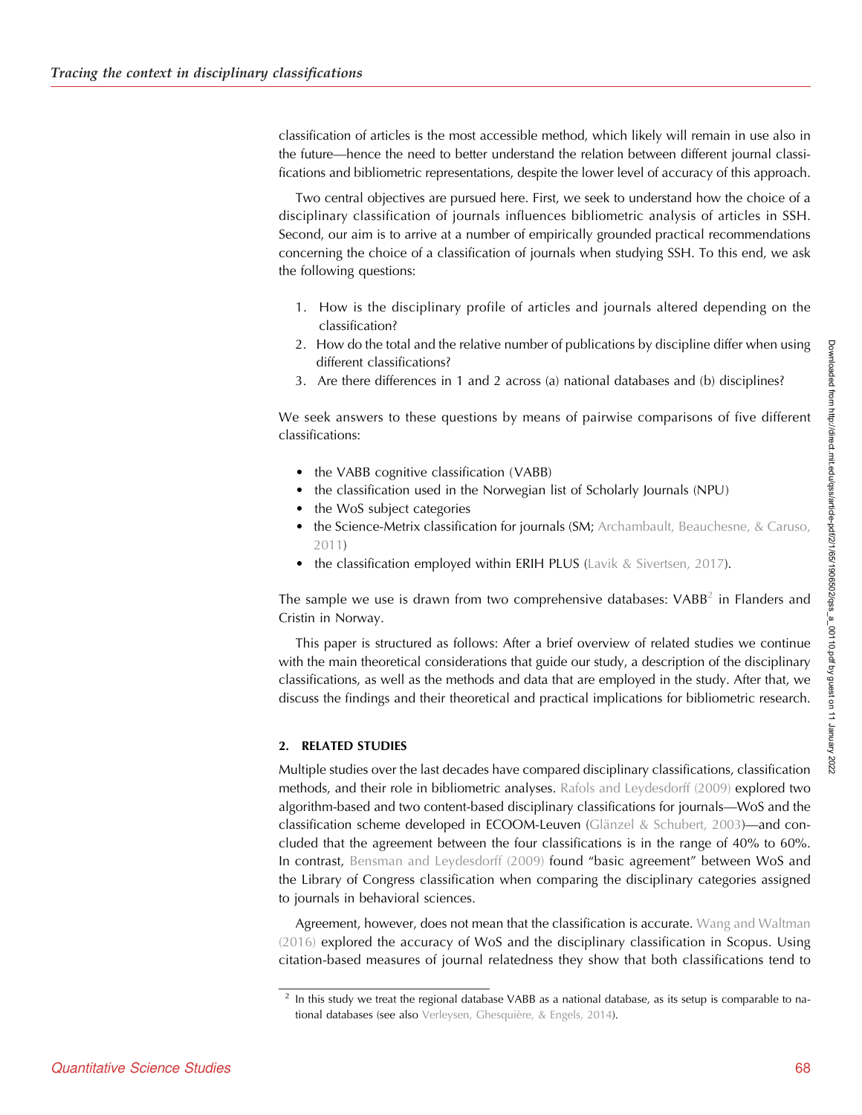classification of articles is the most accessible method, which likely will remain in use also in the future—hence the need to better understand the relation between different journal classifications and bibliometric representations, despite the lower level of accuracy of this approach.

Two central objectives are pursued here. First, we seek to understand how the choice of a disciplinary classification of journals influences bibliometric analysis of articles in SSH. Second, our aim is to arrive at a number of empirically grounded practical recommendations concerning the choice of a classification of journals when studying SSH. To this end, we ask the following questions:

- 1. How is the disciplinary profile of articles and journals altered depending on the classification?
- 2. How do the total and the relative number of publications by discipline differ when using different classifications?
- 3. Are there differences in 1 and 2 across (a) national databases and (b) disciplines?

We seek answers to these questions by means of pairwise comparisons of five different classifications:

- the VABB cognitive classification (VABB)
- the classification used in the Norwegian list of Scholarly Journals (NPU)
- the WoS subject categories
- the Science-Metrix classification for journals (SM; [Archambault, Beauchesne, & Caruso,](#page-21-0) [2011\)](#page-21-0)
- the classification employed within ERIH PLUS ([Lavik & Sivertsen, 2017\)](#page-22-0).

The sample we use is drawn from two comprehensive databases:  $VABB<sup>2</sup>$  in Flanders and Cristin in Norway.

This paper is structured as follows: After a brief overview of related studies we continue with the main theoretical considerations that guide our study, a description of the disciplinary classifications, as well as the methods and data that are employed in the study. After that, we discuss the findings and their theoretical and practical implications for bibliometric research.

## 2. RELATED STUDIES

Multiple studies over the last decades have compared disciplinary classifications, classification methods, and their role in bibliometric analyses. [Rafols and Leydesdorff \(2009\)](#page-23-0) explored two algorithm-based and two content-based disciplinary classifications for journals—WoS and the classification scheme developed in ECOOM-Leuven ([Glänzel & Schubert, 2003](#page-22-0))—and concluded that the agreement between the four classifications is in the range of 40% to 60%. In contrast, [Bensman and Leydesdorff \(2009\)](#page-21-0) found "basic agreement" between WoS and the Library of Congress classification when comparing the disciplinary categories assigned to journals in behavioral sciences.

Agreement, however, does not mean that the classification is accurate. [Wang and Waltman](#page-23-0) [\(2016\)](#page-23-0) explored the accuracy of WoS and the disciplinary classification in Scopus. Using citation-based measures of journal relatedness they show that both classifications tend to

<sup>&</sup>lt;sup>2</sup> In this study we treat the regional database VABB as a national database, as its setup is comparable to national databases (see also [Verleysen, Ghesquière, & Engels, 2014\)](#page-23-0).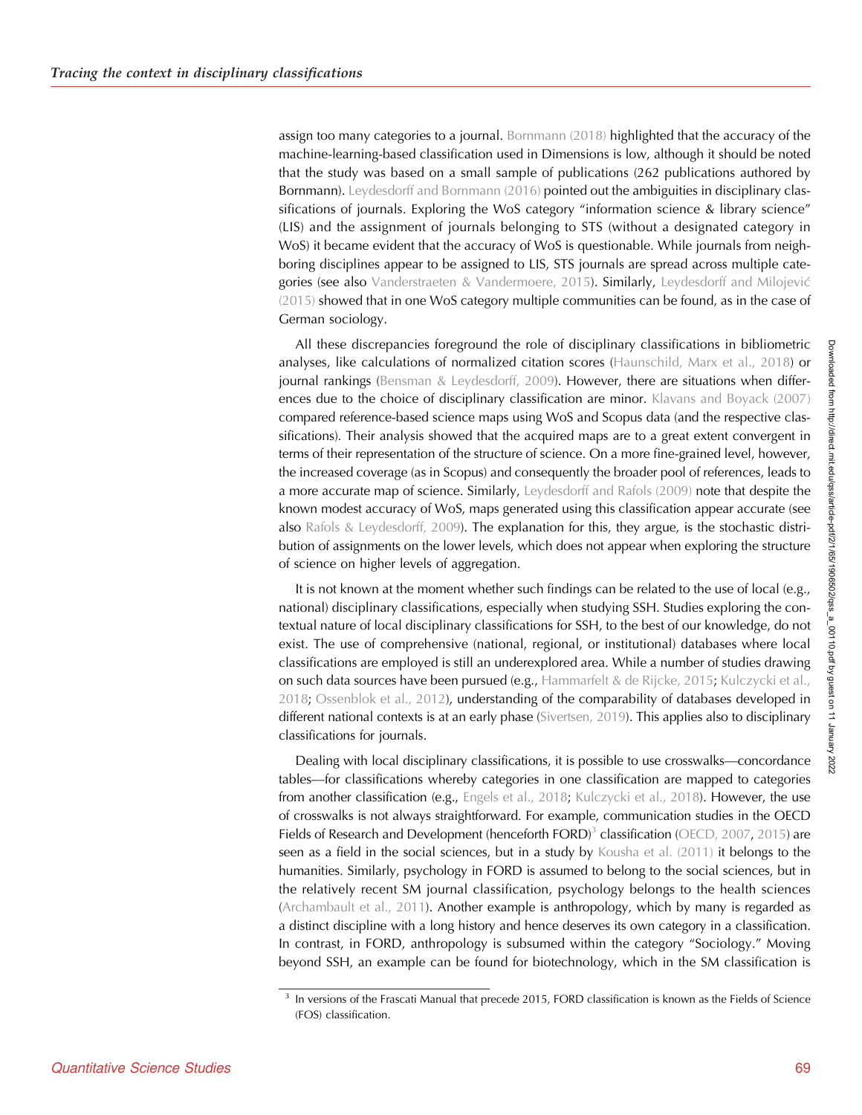assign too many categories to a journal. [Bornmann \(2018\)](#page-21-0) highlighted that the accuracy of the machine-learning-based classification used in Dimensions is low, although it should be noted that the study was based on a small sample of publications (262 publications authored by Bornmann). [Leydesdorff and Bornmann \(2016\)](#page-22-0) pointed out the ambiguities in disciplinary classifications of journals. Exploring the WoS category "information science & library science" (LIS) and the assignment of journals belonging to STS (without a designated category in WoS) it became evident that the accuracy of WoS is questionable. While journals from neighboring disciplines appear to be assigned to LIS, STS journals are spread across multiple categories (see also [Vanderstraeten & Vandermoere, 2015\)](#page-23-0). Similarly, [Leydesdorff and Milojevic](#page-22-0) [\(2015\)](#page-22-0) showed that in one WoS category multiple communities can be found, as in the case of German sociology.

All these discrepancies foreground the role of disciplinary classifications in bibliometric analyses, like calculations of normalized citation scores ([Haunschild, Marx et al., 2018](#page-22-0)) or journal rankings (Bensman  $&$  Leydesdorff, 2009). However, there are situations when differences due to the choice of disciplinary classification are minor. [Klavans and Boyack \(2007\)](#page-22-0) compared reference-based science maps using WoS and Scopus data (and the respective classifications). Their analysis showed that the acquired maps are to a great extent convergent in terms of their representation of the structure of science. On a more fine-grained level, however, the increased coverage (as in Scopus) and consequently the broader pool of references, leads to a more accurate map of science. Similarly, [Leydesdorff and Rafols \(2009\)](#page-23-0) note that despite the known modest accuracy of WoS, maps generated using this classification appear accurate (see also [Rafols & Leydesdorff, 2009](#page-23-0)). The explanation for this, they argue, is the stochastic distribution of assignments on the lower levels, which does not appear when exploring the structure of science on higher levels of aggregation.

It is not known at the moment whether such findings can be related to the use of local (e.g., national) disciplinary classifications, especially when studying SSH. Studies exploring the contextual nature of local disciplinary classifications for SSH, to the best of our knowledge, do not exist. The use of comprehensive (national, regional, or institutional) databases where local classifications are employed is still an underexplored area. While a number of studies drawing on such data sources have been pursued (e.g., [Hammarfelt & de Rijcke, 2015](#page-22-0); [Kulczycki et al.,](#page-22-0) [2018;](#page-22-0) [Ossenblok et al., 2012\)](#page-23-0), understanding of the comparability of databases developed in different national contexts is at an early phase ([Sivertsen, 2019\)](#page-23-0). This applies also to disciplinary classifications for journals.

Dealing with local disciplinary classifications, it is possible to use crosswalks—concordance tables—for classifications whereby categories in one classification are mapped to categories from another classification (e.g., [Engels et al., 2018](#page-22-0); [Kulczycki et al., 2018\)](#page-22-0). However, the use of crosswalks is not always straightforward. For example, communication studies in the OECD Fields of Research and Development (henceforth FORD)<sup>3</sup> classification [\(OECD, 2007](#page-23-0), [2015\)](#page-23-0) are seen as a field in the social sciences, but in a study by [Kousha et al. \(2011\)](#page-22-0) it belongs to the humanities. Similarly, psychology in FORD is assumed to belong to the social sciences, but in the relatively recent SM journal classification, psychology belongs to the health sciences ([Archambault et al., 2011](#page-21-0)). Another example is anthropology, which by many is regarded as a distinct discipline with a long history and hence deserves its own category in a classification. In contrast, in FORD, anthropology is subsumed within the category "Sociology." Moving beyond SSH, an example can be found for biotechnology, which in the SM classification is

<sup>&</sup>lt;sup>3</sup> In versions of the Frascati Manual that precede 2015, FORD classification is known as the Fields of Science (FOS) classification.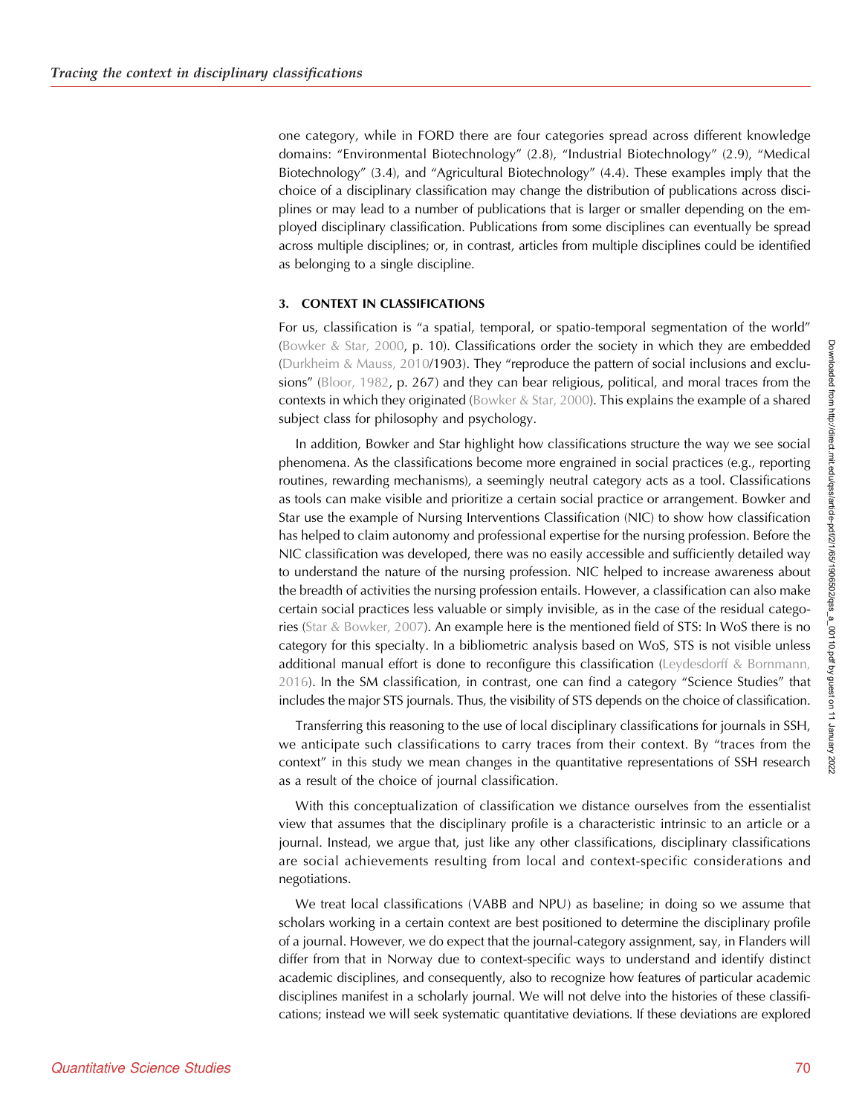one category, while in FORD there are four categories spread across different knowledge domains: "Environmental Biotechnology" (2.8), "Industrial Biotechnology" (2.9), "Medical Biotechnology" (3.4), and "Agricultural Biotechnology" (4.4). These examples imply that the choice of a disciplinary classification may change the distribution of publications across disciplines or may lead to a number of publications that is larger or smaller depending on the employed disciplinary classification. Publications from some disciplines can eventually be spread across multiple disciplines; or, in contrast, articles from multiple disciplines could be identified as belonging to a single discipline.

## 3. CONTEXT IN CLASSIFICATIONS

For us, classification is "a spatial, temporal, or spatio-temporal segmentation of the world" ([Bowker & Star, 2000](#page-21-0), p. 10). Classifications order the society in which they are embedded ([Durkheim & Mauss, 2010](#page-22-0)/1903). They "reproduce the pattern of social inclusions and exclusions" [\(Bloor, 1982](#page-21-0), p. 267) and they can bear religious, political, and moral traces from the contexts in which they originated ([Bowker & Star, 2000\)](#page-21-0). This explains the example of a shared subject class for philosophy and psychology.

In addition, Bowker and Star highlight how classifications structure the way we see social phenomena. As the classifications become more engrained in social practices (e.g., reporting routines, rewarding mechanisms), a seemingly neutral category acts as a tool. Classifications as tools can make visible and prioritize a certain social practice or arrangement. Bowker and Star use the example of Nursing Interventions Classification (NIC) to show how classification has helped to claim autonomy and professional expertise for the nursing profession. Before the NIC classification was developed, there was no easily accessible and sufficiently detailed way to understand the nature of the nursing profession. NIC helped to increase awareness about the breadth of activities the nursing profession entails. However, a classification can also make certain social practices less valuable or simply invisible, as in the case of the residual categories [\(Star & Bowker, 2007](#page-23-0)). An example here is the mentioned field of STS: In WoS there is no category for this specialty. In a bibliometric analysis based on WoS, STS is not visible unless additional manual effort is done to reconfigure this classification ([Leydesdorff & Bornmann,](#page-22-0) [2016](#page-22-0)). In the SM classification, in contrast, one can find a category "Science Studies" that includes the major STS journals. Thus, the visibility of STS depends on the choice of classification.

Transferring this reasoning to the use of local disciplinary classifications for journals in SSH, we anticipate such classifications to carry traces from their context. By "traces from the context" in this study we mean changes in the quantitative representations of SSH research as a result of the choice of journal classification.

With this conceptualization of classification we distance ourselves from the essentialist view that assumes that the disciplinary profile is a characteristic intrinsic to an article or a journal. Instead, we argue that, just like any other classifications, disciplinary classifications are social achievements resulting from local and context-specific considerations and negotiations.

We treat local classifications (VABB and NPU) as baseline; in doing so we assume that scholars working in a certain context are best positioned to determine the disciplinary profile of a journal. However, we do expect that the journal-category assignment, say, in Flanders will differ from that in Norway due to context-specific ways to understand and identify distinct academic disciplines, and consequently, also to recognize how features of particular academic disciplines manifest in a scholarly journal. We will not delve into the histories of these classifications; instead we will seek systematic quantitative deviations. If these deviations are explored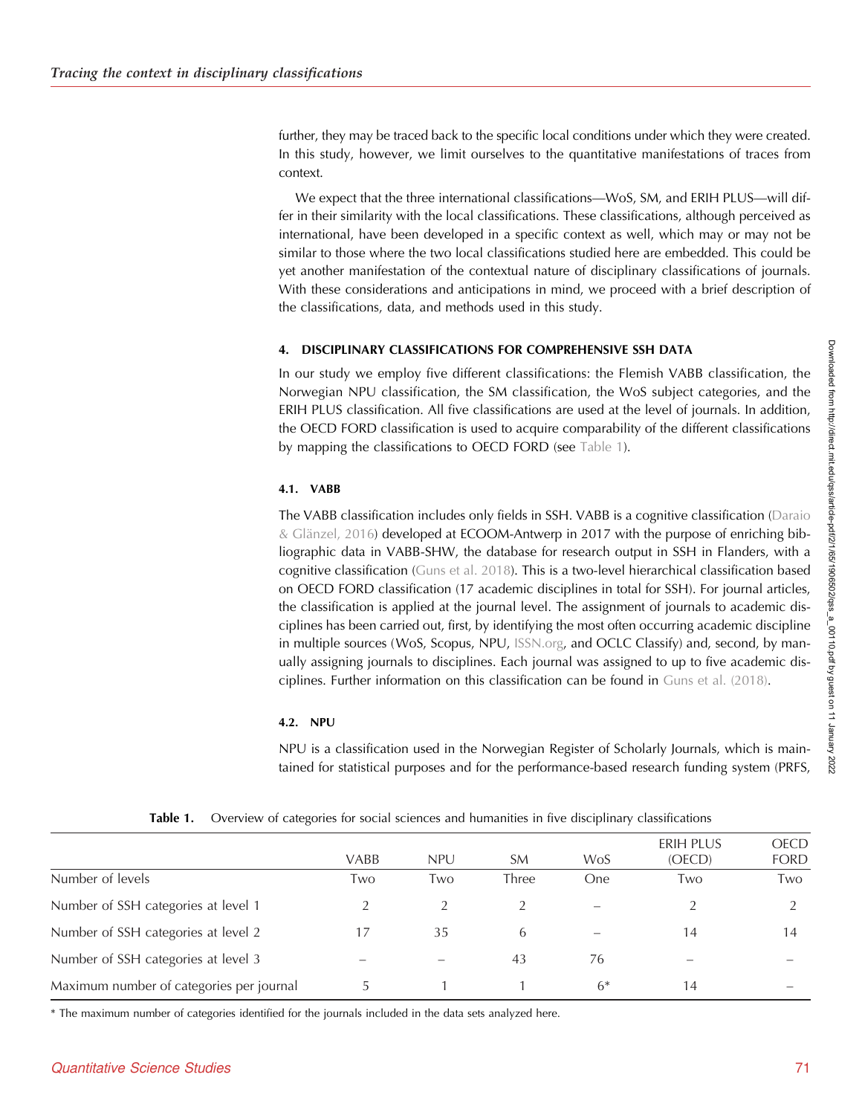further, they may be traced back to the specific local conditions under which they were created. In this study, however, we limit ourselves to the quantitative manifestations of traces from context.

We expect that the three international classifications—WoS, SM, and ERIH PLUS—will differ in their similarity with the local classifications. These classifications, although perceived as international, have been developed in a specific context as well, which may or may not be similar to those where the two local classifications studied here are embedded. This could be yet another manifestation of the contextual nature of disciplinary classifications of journals. With these considerations and anticipations in mind, we proceed with a brief description of the classifications, data, and methods used in this study.

## 4. DISCIPLINARY CLASSIFICATIONS FOR COMPREHENSIVE SSH DATA

In our study we employ five different classifications: the Flemish VABB classification, the Norwegian NPU classification, the SM classification, the WoS subject categories, and the ERIH PLUS classification. All five classifications are used at the level of journals. In addition, the OECD FORD classification is used to acquire comparability of the different classifications by mapping the classifications to OECD FORD (see Table 1).

# 4.1. VABB

The VABB classification includes only fields in SSH. VABB is a cognitive classification [\(Daraio](#page-22-0) [& Glänzel, 2016\)](#page-22-0) developed at ECOOM-Antwerp in 2017 with the purpose of enriching bibliographic data in VABB-SHW, the database for research output in SSH in Flanders, with a cognitive classification [\(Guns et al. 2018\)](#page-22-0). This is a two-level hierarchical classification based on OECD FORD classification (17 academic disciplines in total for SSH). For journal articles, the classification is applied at the journal level. The assignment of journals to academic disciplines has been carried out, first, by identifying the most often occurring academic discipline in multiple sources (WoS, Scopus, NPU, [ISSN.org](http://ISSN.org), and OCLC Classify) and, second, by manually assigning journals to disciplines. Each journal was assigned to up to five academic disciplines. Further information on this classification can be found in [Guns et al. \(2018\)](#page-22-0).

## 4.2. NPU

NPU is a classification used in the Norwegian Register of Scholarly Journals, which is maintained for statistical purposes and for the performance-based research funding system (PRFS,

|                                          | <b>VABB</b> | <b>NPU</b> | SM    | WoS  | ERIH PLUS<br>(OECD) | <b>OECD</b><br><b>FORD</b> |
|------------------------------------------|-------------|------------|-------|------|---------------------|----------------------------|
| Number of levels                         | Two         | Two        | Three | One. | Two                 | Two                        |
| Number of SSH categories at level 1      |             |            |       |      |                     |                            |
| Number of SSH categories at level 2      |             | 35         | 6     |      | 14                  | 14                         |
| Number of SSH categories at level 3      |             |            | 43    | 76   |                     |                            |
| Maximum number of categories per journal |             |            |       | $6*$ | 14                  |                            |

**Table 1.** Overview of categories for social sciences and humanities in five disciplinary classifications

\* The maximum number of categories identified for the journals included in the data sets analyzed here.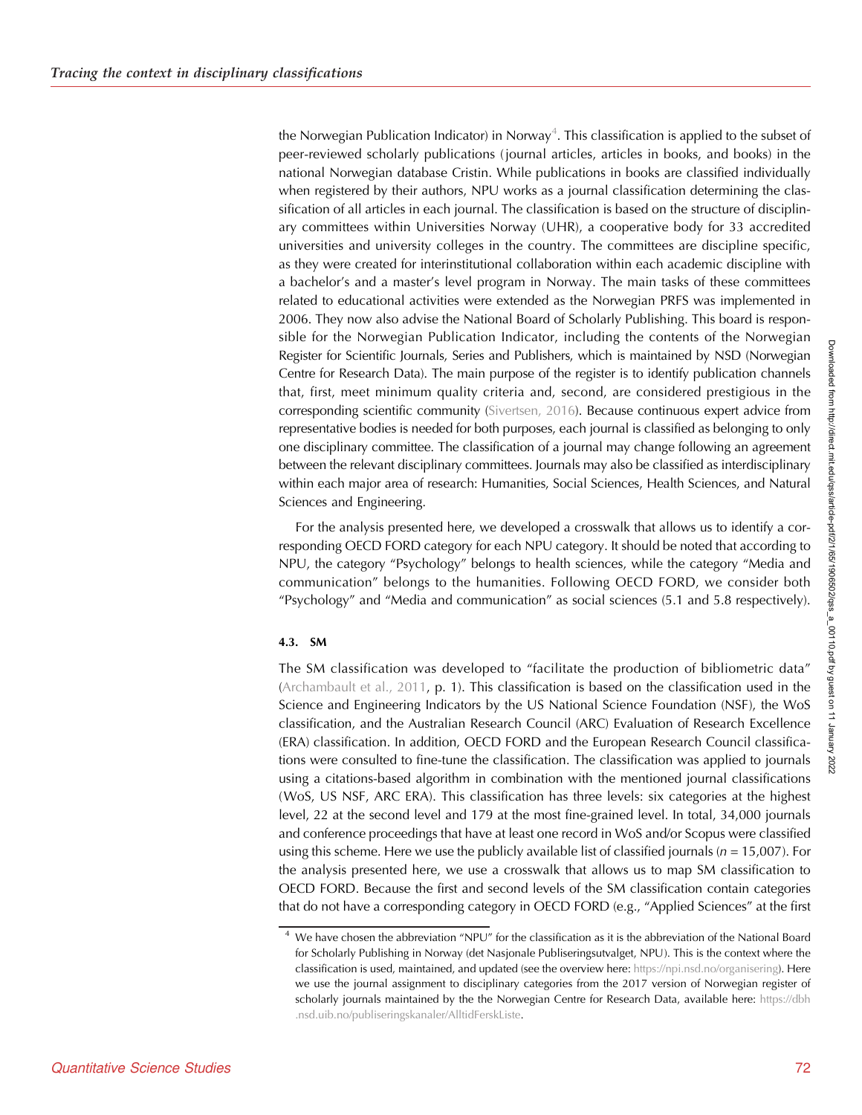the Norwegian Publication Indicator) in Norway $^4$ . This classification is applied to the subset of peer-reviewed scholarly publications (journal articles, articles in books, and books) in the national Norwegian database Cristin. While publications in books are classified individually when registered by their authors, NPU works as a journal classification determining the classification of all articles in each journal. The classification is based on the structure of disciplinary committees within Universities Norway (UHR), a cooperative body for 33 accredited universities and university colleges in the country. The committees are discipline specific, as they were created for interinstitutional collaboration within each academic discipline with a bachelor's and a master's level program in Norway. The main tasks of these committees related to educational activities were extended as the Norwegian PRFS was implemented in 2006. They now also advise the National Board of Scholarly Publishing. This board is responsible for the Norwegian Publication Indicator, including the contents of the Norwegian Register for Scientific Journals, Series and Publishers, which is maintained by NSD (Norwegian Centre for Research Data). The main purpose of the register is to identify publication channels that, first, meet minimum quality criteria and, second, are considered prestigious in the corresponding scientific community [\(Sivertsen, 2016\)](#page-23-0). Because continuous expert advice from representative bodies is needed for both purposes, each journal is classified as belonging to only one disciplinary committee. The classification of a journal may change following an agreement between the relevant disciplinary committees. Journals may also be classified as interdisciplinary within each major area of research: Humanities, Social Sciences, Health Sciences, and Natural Sciences and Engineering.

For the analysis presented here, we developed a crosswalk that allows us to identify a corresponding OECD FORD category for each NPU category. It should be noted that according to NPU, the category "Psychology" belongs to health sciences, while the category "Media and communication" belongs to the humanities. Following OECD FORD, we consider both "Psychology" and "Media and communication" as social sciences (5.1 and 5.8 respectively).

## 4.3. SM

The SM classification was developed to "facilitate the production of bibliometric data" ([Archambault et al., 2011](#page-21-0), p. 1). This classification is based on the classification used in the Science and Engineering Indicators by the US National Science Foundation (NSF), the WoS classification, and the Australian Research Council (ARC) Evaluation of Research Excellence (ERA) classification. In addition, OECD FORD and the European Research Council classifications were consulted to fine-tune the classification. The classification was applied to journals using a citations-based algorithm in combination with the mentioned journal classifications (WoS, US NSF, ARC ERA). This classification has three levels: six categories at the highest level, 22 at the second level and 179 at the most fine-grained level. In total, 34,000 journals and conference proceedings that have at least one record in WoS and/or Scopus were classified using this scheme. Here we use the publicly available list of classified journals ( $n = 15,007$ ). For the analysis presented here, we use a crosswalk that allows us to map SM classification to OECD FORD. Because the first and second levels of the SM classification contain categories that do not have a corresponding category in OECD FORD (e.g., "Applied Sciences" at the first

<sup>&</sup>lt;sup>4</sup> We have chosen the abbreviation "NPU" for the classification as it is the abbreviation of the National Board for Scholarly Publishing in Norway (det Nasjonale Publiseringsutvalget, NPU). This is the context where the classification is used, maintained, and updated (see the overview here: [https://npi.nsd.no/organisering\)](https://npi.nsd.no/organisering). Here we use the journal assignment to disciplinary categories from the 2017 version of Norwegian register of scholarly journals maintained by the the Norwegian Centre for Research Data, available here: [https://dbh](https://dbh.nsd.uib.no/publiseringskanaler/AlltidFerskListe) [.nsd.uib.no/publiseringskanaler/AlltidFerskListe.](https://dbh.nsd.uib.no/publiseringskanaler/AlltidFerskListe)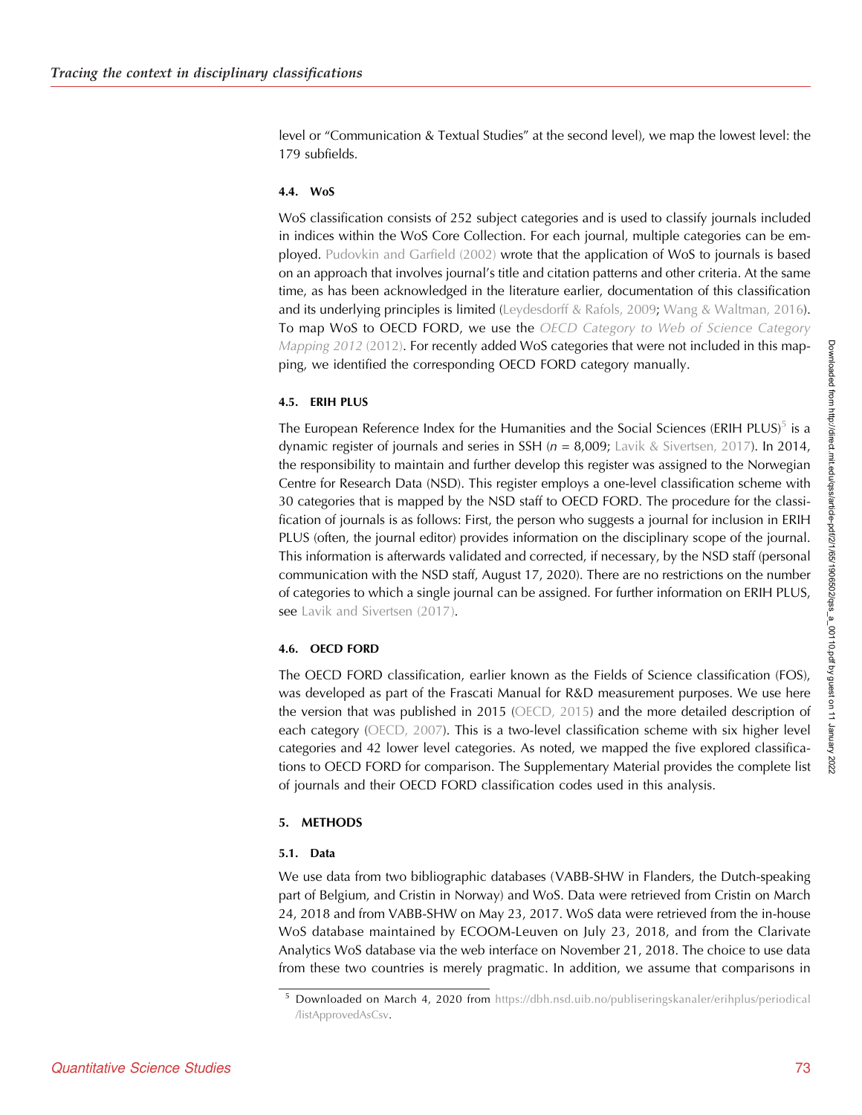level or "Communication & Textual Studies" at the second level), we map the lowest level: the 179 subfields.

#### 4.4. WoS

WoS classification consists of 252 subject categories and is used to classify journals included in indices within the WoS Core Collection. For each journal, multiple categories can be employed. [Pudovkin and Garfield \(2002\)](#page-23-0) wrote that the application of WoS to journals is based on an approach that involves journal's title and citation patterns and other criteria. At the same time, as has been acknowledged in the literature earlier, documentation of this classification and its underlying principles is limited [\(Leydesdorff & Rafols, 2009](#page-23-0); [Wang & Waltman, 2016\)](#page-23-0). To map WoS to OECD FORD, we use the [OECD Category to Web of Science Category](#page-23-0) [Mapping 2012](#page-23-0) (2012). For recently added WoS categories that were not included in this mapping, we identified the corresponding OECD FORD category manually.

## 4.5. ERIH PLUS

The European Reference Index for the Humanities and the Social Sciences (ERIH PLUS)<sup>5</sup> is a dynamic register of journals and series in SSH ( $n = 8,009$ ; [Lavik & Sivertsen, 2017\)](#page-22-0). In 2014, the responsibility to maintain and further develop this register was assigned to the Norwegian Centre for Research Data (NSD). This register employs a one-level classification scheme with 30 categories that is mapped by the NSD staff to OECD FORD. The procedure for the classification of journals is as follows: First, the person who suggests a journal for inclusion in ERIH PLUS (often, the journal editor) provides information on the disciplinary scope of the journal. This information is afterwards validated and corrected, if necessary, by the NSD staff (personal communication with the NSD staff, August 17, 2020). There are no restrictions on the number of categories to which a single journal can be assigned. For further information on ERIH PLUS, see [Lavik and Sivertsen \(2017\).](#page-22-0)

## 4.6. OECD FORD

The OECD FORD classification, earlier known as the Fields of Science classification (FOS), was developed as part of the Frascati Manual for R&D measurement purposes. We use here the version that was published in 2015 ([OECD, 2015](#page-23-0)) and the more detailed description of each category [\(OECD, 2007\)](#page-23-0). This is a two-level classification scheme with six higher level categories and 42 lower level categories. As noted, we mapped the five explored classifications to OECD FORD for comparison. The Supplementary Material provides the complete list of journals and their OECD FORD classification codes used in this analysis.

## 5. METHODS

#### 5.1. Data

We use data from two bibliographic databases (VABB-SHW in Flanders, the Dutch-speaking part of Belgium, and Cristin in Norway) and WoS. Data were retrieved from Cristin on March 24, 2018 and from VABB-SHW on May 23, 2017. WoS data were retrieved from the in-house WoS database maintained by ECOOM-Leuven on July 23, 2018, and from the Clarivate Analytics WoS database via the web interface on November 21, 2018. The choice to use data from these two countries is merely pragmatic. In addition, we assume that comparisons in

<sup>5</sup> Downloaded on March 4, 2020 from [https://dbh.nsd.uib.no/publiseringskanaler/erihplus/periodical](https://dbh.nsd.uib.no/publiseringskanaler/erihplus/periodical/listApprovedAsCsv) [/listApprovedAsCsv](https://dbh.nsd.uib.no/publiseringskanaler/erihplus/periodical/listApprovedAsCsv).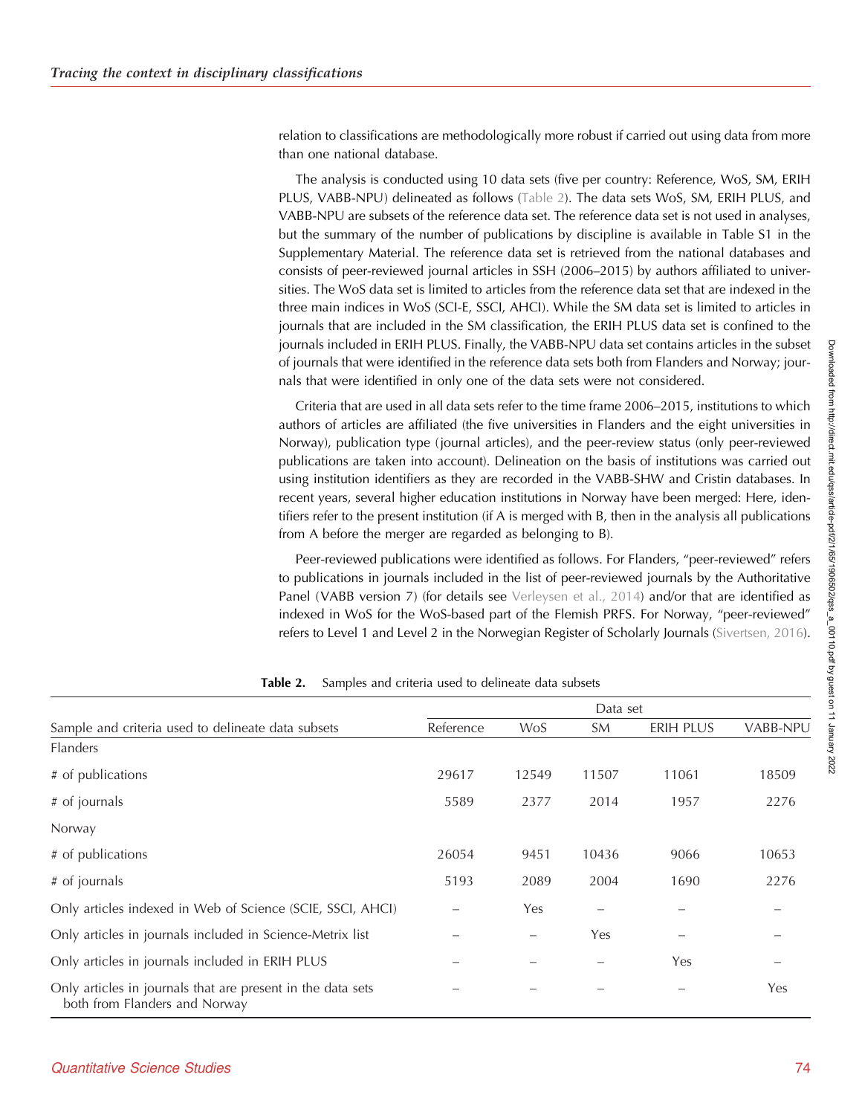relation to classifications are methodologically more robust if carried out using data from more than one national database.

The analysis is conducted using 10 data sets (five per country: Reference, WoS, SM, ERIH PLUS, VABB-NPU) delineated as follows (Table 2). The data sets WoS, SM, ERIH PLUS, and VABB-NPU are subsets of the reference data set. The reference data set is not used in analyses, but the summary of the number of publications by discipline is available in Table S1 in the Supplementary Material. The reference data set is retrieved from the national databases and consists of peer-reviewed journal articles in SSH (2006–2015) by authors affiliated to universities. The WoS data set is limited to articles from the reference data set that are indexed in the three main indices in WoS (SCI-E, SSCI, AHCI). While the SM data set is limited to articles in journals that are included in the SM classification, the ERIH PLUS data set is confined to the journals included in ERIH PLUS. Finally, the VABB-NPU data set contains articles in the subset of journals that were identified in the reference data sets both from Flanders and Norway; journals that were identified in only one of the data sets were not considered.

Criteria that are used in all data sets refer to the time frame 2006–2015, institutions to which authors of articles are affiliated (the five universities in Flanders and the eight universities in Norway), publication type (journal articles), and the peer-review status (only peer-reviewed publications are taken into account). Delineation on the basis of institutions was carried out using institution identifiers as they are recorded in the VABB-SHW and Cristin databases. In recent years, several higher education institutions in Norway have been merged: Here, identifiers refer to the present institution (if A is merged with B, then in the analysis all publications from A before the merger are regarded as belonging to B).

Peer-reviewed publications were identified as follows. For Flanders, "peer-reviewed" refers to publications in journals included in the list of peer-reviewed journals by the Authoritative Panel (VABB version 7) (for details see [Verleysen et al., 2014](#page-23-0)) and/or that are identified as indexed in WoS for the WoS-based part of the Flemish PRFS. For Norway, "peer-reviewed" refers to Level 1 and Level 2 in the Norwegian Register of Scholarly Journals ([Sivertsen, 2016\)](#page-23-0).

|                                                                                              | Data set  |                          |       |           |                 |  |  |  |
|----------------------------------------------------------------------------------------------|-----------|--------------------------|-------|-----------|-----------------|--|--|--|
| Sample and criteria used to delineate data subsets                                           | Reference | <b>WoS</b>               | SM    | ERIH PLUS | <b>VABB-NPU</b> |  |  |  |
| <b>Flanders</b>                                                                              |           |                          |       |           |                 |  |  |  |
| # of publications                                                                            | 29617     | 12549                    | 11507 | 11061     | 18509           |  |  |  |
| # of journals                                                                                | 5589      | 2377                     | 2014  | 1957      | 2276            |  |  |  |
| Norway                                                                                       |           |                          |       |           |                 |  |  |  |
| # of publications                                                                            | 26054     | 9451                     | 10436 | 9066      | 10653           |  |  |  |
| # of journals                                                                                | 5193      | 2089                     | 2004  | 1690      | 2276            |  |  |  |
| Only articles indexed in Web of Science (SCIE, SSCI, AHCI)                                   |           | Yes                      |       |           |                 |  |  |  |
| Only articles in journals included in Science-Metrix list                                    |           | $\overline{\phantom{0}}$ | Yes   |           |                 |  |  |  |
| Only articles in journals included in ERIH PLUS                                              |           |                          |       | Yes       |                 |  |  |  |
| Only articles in journals that are present in the data sets<br>both from Flanders and Norway |           |                          |       |           | <b>Yes</b>      |  |  |  |

**Table 2.** Samples and criteria used to delineate data subsets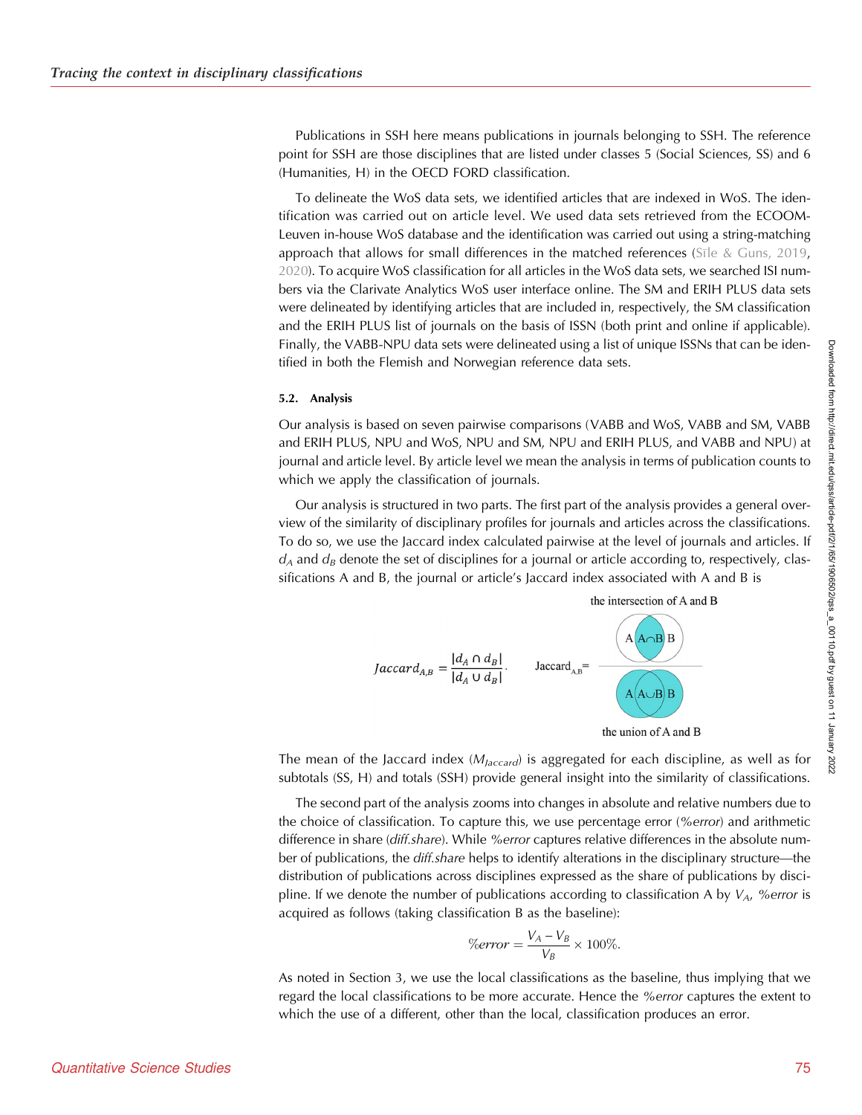Publications in SSH here means publications in journals belonging to SSH. The reference point for SSH are those disciplines that are listed under classes 5 (Social Sciences, SS) and 6 (Humanities, H) in the OECD FORD classification.

To delineate the WoS data sets, we identified articles that are indexed in WoS. The identification was carried out on article level. We used data sets retrieved from the ECOOM-Leuven in-house WoS database and the identification was carried out using a string-matching approach that allows for small differences in the matched references [\(S](#page-23-0)<sub>I</sub> e & Guns, 2019, [2020\)](#page-23-0). To acquire WoS classification for all articles in the WoS data sets, we searched ISI numbers via the Clarivate Analytics WoS user interface online. The SM and ERIH PLUS data sets were delineated by identifying articles that are included in, respectively, the SM classification and the ERIH PLUS list of journals on the basis of ISSN (both print and online if applicable). Finally, the VABB-NPU data sets were delineated using a list of unique ISSNs that can be identified in both the Flemish and Norwegian reference data sets.

#### 5.2. Analysis

Our analysis is based on seven pairwise comparisons (VABB and WoS, VABB and SM, VABB and ERIH PLUS, NPU and WoS, NPU and SM, NPU and ERIH PLUS, and VABB and NPU) at journal and article level. By article level we mean the analysis in terms of publication counts to which we apply the classification of journals.

Our analysis is structured in two parts. The first part of the analysis provides a general overview of the similarity of disciplinary profiles for journals and articles across the classifications. To do so, we use the Jaccard index calculated pairwise at the level of journals and articles. If  $d_A$  and  $d_B$  denote the set of disciplines for a journal or article according to, respectively, classifications A and B, the journal or article's Jaccard index associated with A and B is



The mean of the Jaccard index  $(M<sub>Jaccard</sub>)$  is aggregated for each discipline, as well as for subtotals (SS, H) and totals (SSH) provide general insight into the similarity of classifications.

The second part of the analysis zooms into changes in absolute and relative numbers due to the choice of classification. To capture this, we use percentage error (%error) and arithmetic difference in share (diff.share). While %error captures relative differences in the absolute number of publications, the *diff.share* helps to identify alterations in the disciplinary structure—the distribution of publications across disciplines expressed as the share of publications by discipline. If we denote the number of publications according to classification A by  $V_A$ , % error is acquired as follows (taking classification B as the baseline):

$$
\%error = \frac{V_A - V_B}{V_B} \times 100\%.
$$

As noted in Section 3, we use the local classifications as the baseline, thus implying that we regard the local classifications to be more accurate. Hence the *%error* captures the extent to which the use of a different, other than the local, classification produces an error.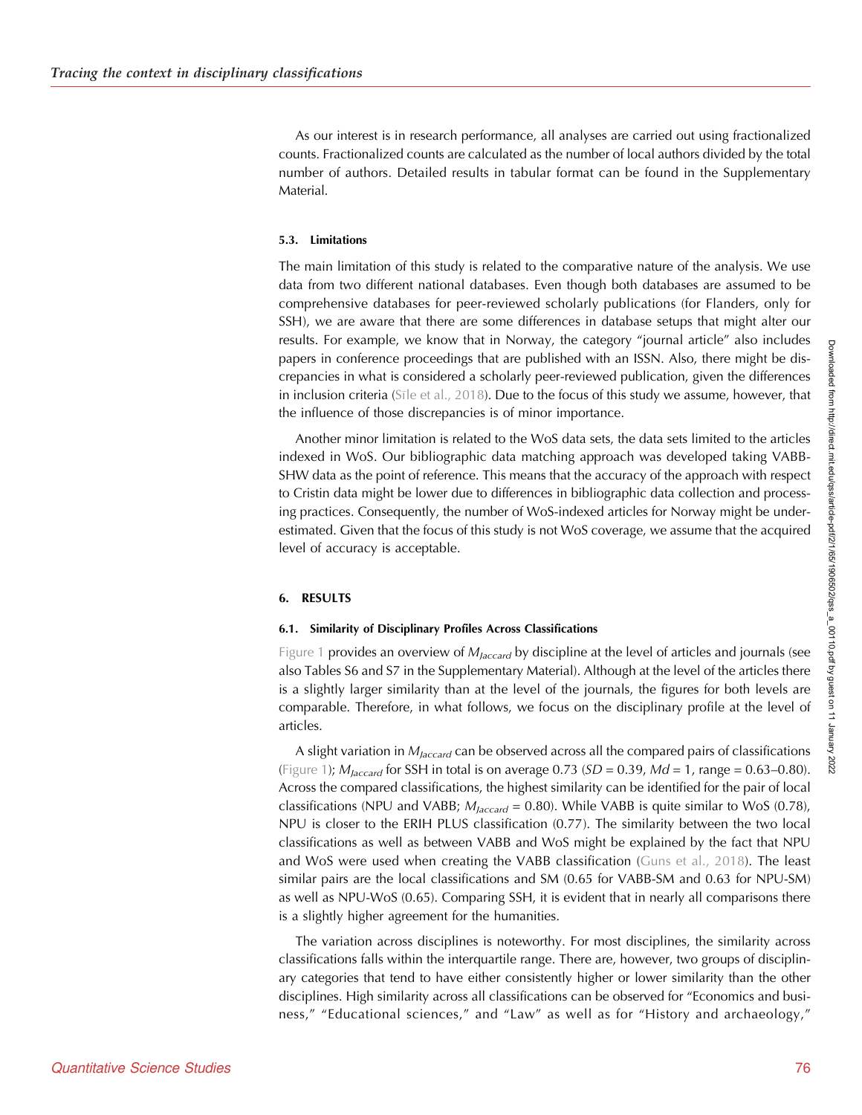As our interest is in research performance, all analyses are carried out using fractionalized counts. Fractionalized counts are calculated as the number of local authors divided by the total number of authors. Detailed results in tabular format can be found in the Supplementary Material.

#### 5.3. Limitations

The main limitation of this study is related to the comparative nature of the analysis. We use data from two different national databases. Even though both databases are assumed to be comprehensive databases for peer-reviewed scholarly publications (for Flanders, only for SSH), we are aware that there are some differences in database setups that might alter our results. For example, we know that in Norway, the category "journal article" also includes papers in conference proceedings that are published with an ISSN. Also, there might be discrepancies in what is considered a scholarly peer-reviewed publication, given the differences in inclusion criteria ([S](#page-23-0)<sub>I[le et al., 2018](#page-23-0))</sub>. Due to the focus of this study we assume, however, that the influence of those discrepancies is of minor importance.

Another minor limitation is related to the WoS data sets, the data sets limited to the articles indexed in WoS. Our bibliographic data matching approach was developed taking VABB-SHW data as the point of reference. This means that the accuracy of the approach with respect to Cristin data might be lower due to differences in bibliographic data collection and processing practices. Consequently, the number of WoS-indexed articles for Norway might be underestimated. Given that the focus of this study is not WoS coverage, we assume that the acquired level of accuracy is acceptable.

#### 6. RESULTS

#### 6.1. Similarity of Disciplinary Profiles Across Classifications

[Figure 1](#page-12-0) provides an overview of  $M_{\text{Jaccard}}$  by discipline at the level of articles and journals (see also Tables S6 and S7 in the Supplementary Material). Although at the level of the articles there is a slightly larger similarity than at the level of the journals, the figures for both levels are comparable. Therefore, in what follows, we focus on the disciplinary profile at the level of articles.

A slight variation in  $M_{Jaccard}$  can be observed across all the compared pairs of classifications ([Figure 1](#page-12-0));  $M_{\text{Jaccard}}$  for SSH in total is on average 0.73 (SD = 0.39, Md = 1, range = 0.63–0.80). Across the compared classifications, the highest similarity can be identified for the pair of local classifications (NPU and VABB;  $M_{laccard} = 0.80$ ). While VABB is quite similar to WoS (0.78), NPU is closer to the ERIH PLUS classification (0.77). The similarity between the two local classifications as well as between VABB and WoS might be explained by the fact that NPU and WoS were used when creating the VABB classification ([Guns et al., 2018](#page-22-0)). The least similar pairs are the local classifications and SM (0.65 for VABB-SM and 0.63 for NPU-SM) as well as NPU-WoS (0.65). Comparing SSH, it is evident that in nearly all comparisons there is a slightly higher agreement for the humanities.

The variation across disciplines is noteworthy. For most disciplines, the similarity across classifications falls within the interquartile range. There are, however, two groups of disciplinary categories that tend to have either consistently higher or lower similarity than the other disciplines. High similarity across all classifications can be observed for "Economics and business," "Educational sciences," and "Law" as well as for "History and archaeology,"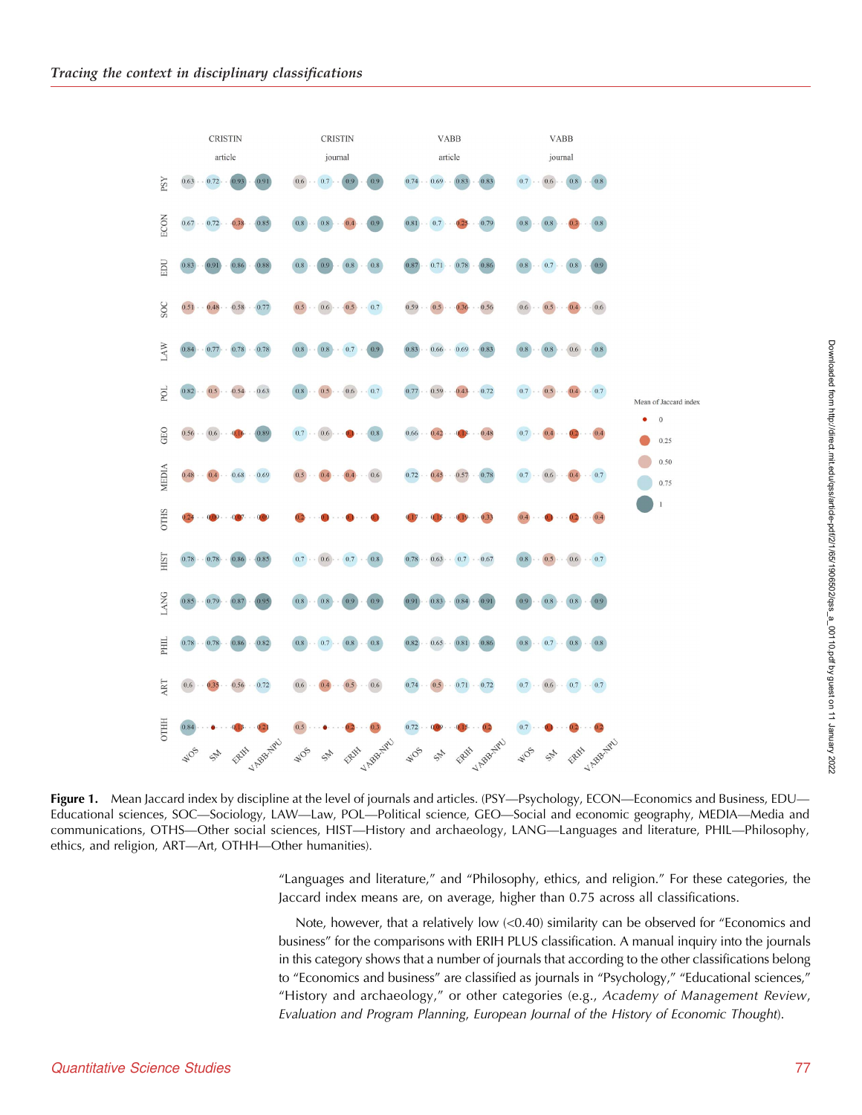<span id="page-12-0"></span>

Figure 1. Mean Jaccard index by discipline at the level of journals and articles. (PSY—Psychology, ECON—Economics and Business, EDU— Educational sciences, SOC—Sociology, LAW—Law, POL—Political science, GEO—Social and economic geography, MEDIA—Media and communications, OTHS—Other social sciences, HIST—History and archaeology, LANG—Languages and literature, PHIL—Philosophy, ethics, and religion, ART—Art, OTHH—Other humanities).

"Languages and literature," and "Philosophy, ethics, and religion." For these categories, the Jaccard index means are, on average, higher than 0.75 across all classifications.

Note, however, that a relatively low (<0.40) similarity can be observed for "Economics and business" for the comparisons with ERIH PLUS classification. A manual inquiry into the journals in this category shows that a number of journals that according to the other classifications belong to "Economics and business" are classified as journals in "Psychology," "Educational sciences," "History and archaeology," or other categories (e.g., Academy of Management Review, Evaluation and Program Planning, European Journal of the History of Economic Thought).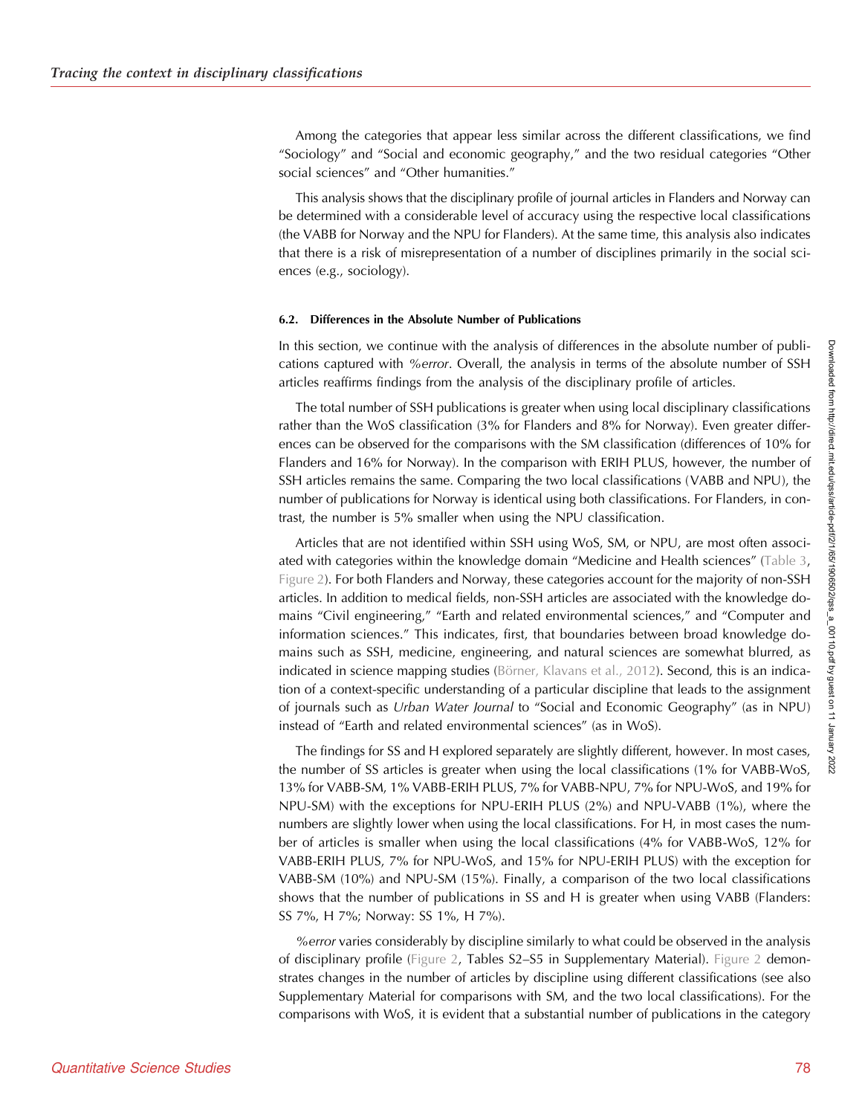Among the categories that appear less similar across the different classifications, we find "Sociology" and "Social and economic geography," and the two residual categories "Other social sciences" and "Other humanities."

This analysis shows that the disciplinary profile of journal articles in Flanders and Norway can be determined with a considerable level of accuracy using the respective local classifications (the VABB for Norway and the NPU for Flanders). At the same time, this analysis also indicates that there is a risk of misrepresentation of a number of disciplines primarily in the social sciences (e.g., sociology).

#### 6.2. Differences in the Absolute Number of Publications

In this section, we continue with the analysis of differences in the absolute number of publications captured with %error. Overall, the analysis in terms of the absolute number of SSH articles reaffirms findings from the analysis of the disciplinary profile of articles.

The total number of SSH publications is greater when using local disciplinary classifications rather than the WoS classification (3% for Flanders and 8% for Norway). Even greater differences can be observed for the comparisons with the SM classification (differences of 10% for Flanders and 16% for Norway). In the comparison with ERIH PLUS, however, the number of SSH articles remains the same. Comparing the two local classifications (VABB and NPU), the number of publications for Norway is identical using both classifications. For Flanders, in contrast, the number is 5% smaller when using the NPU classification.

Articles that are not identified within SSH using WoS, SM, or NPU, are most often associated with categories within the knowledge domain "Medicine and Health sciences" ([Table 3](#page-14-0), [Figure 2\)](#page-15-0). For both Flanders and Norway, these categories account for the majority of non-SSH articles. In addition to medical fields, non-SSH articles are associated with the knowledge domains "Civil engineering," "Earth and related environmental sciences," and "Computer and information sciences." This indicates, first, that boundaries between broad knowledge domains such as SSH, medicine, engineering, and natural sciences are somewhat blurred, as indicated in science mapping studies [\(Börner, Klavans et al., 2012](#page-21-0)). Second, this is an indication of a context-specific understanding of a particular discipline that leads to the assignment of journals such as Urban Water Journal to "Social and Economic Geography" (as in NPU) instead of "Earth and related environmental sciences" (as in WoS).

The findings for SS and H explored separately are slightly different, however. In most cases, the number of SS articles is greater when using the local classifications (1% for VABB-WoS, 13% for VABB-SM, 1% VABB-ERIH PLUS, 7% for VABB-NPU, 7% for NPU-WoS, and 19% for NPU-SM) with the exceptions for NPU-ERIH PLUS (2%) and NPU-VABB (1%), where the numbers are slightly lower when using the local classifications. For H, in most cases the number of articles is smaller when using the local classifications (4% for VABB-WoS, 12% for VABB-ERIH PLUS, 7% for NPU-WoS, and 15% for NPU-ERIH PLUS) with the exception for VABB-SM (10%) and NPU-SM (15%). Finally, a comparison of the two local classifications shows that the number of publications in SS and H is greater when using VABB (Flanders: SS 7%, H 7%; Norway: SS 1%, H 7%).

%error varies considerably by discipline similarly to what could be observed in the analysis of disciplinary profile ([Figure 2,](#page-15-0) Tables S2–S5 in Supplementary Material). [Figure 2](#page-15-0) demonstrates changes in the number of articles by discipline using different classifications (see also Supplementary Material for comparisons with SM, and the two local classifications). For the comparisons with WoS, it is evident that a substantial number of publications in the category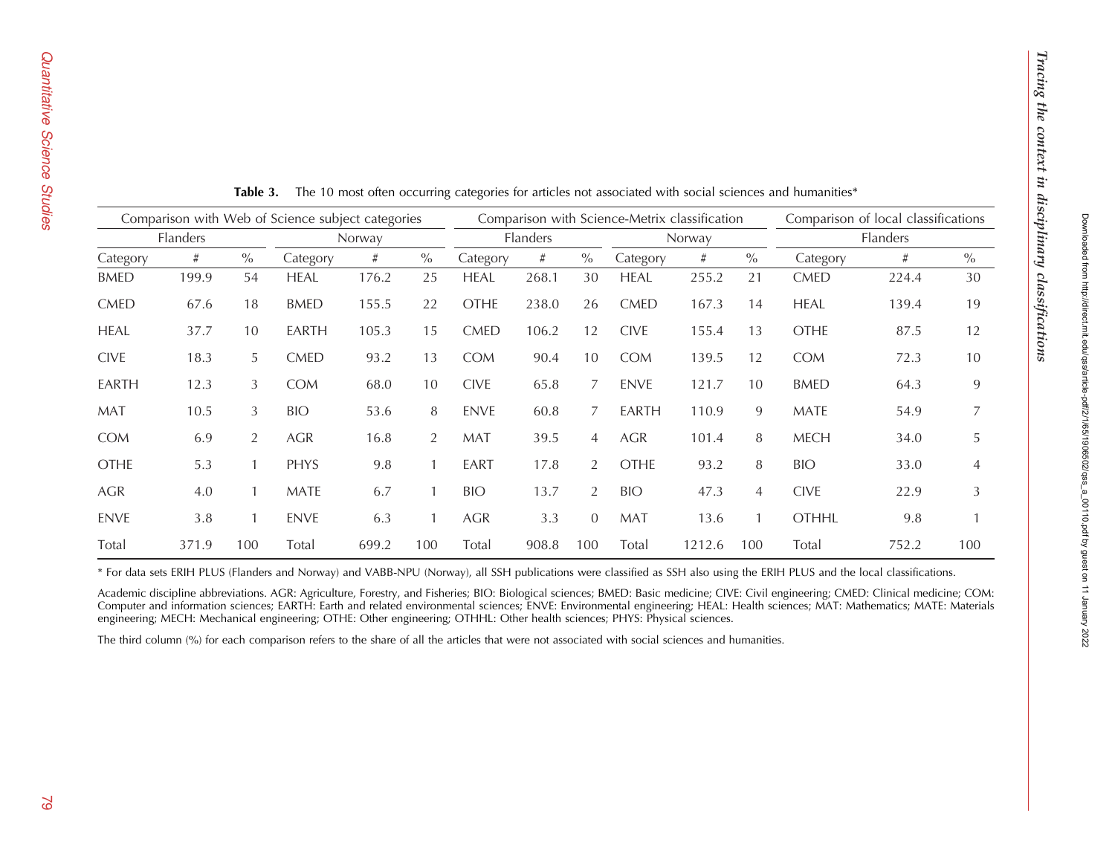Tracing the context in disciplinary classifications

Tracing the context in disciplinary classifications

<span id="page-14-0"></span>

| Comparison with Web of Science subject categories |       |                |             |          | Comparison with Science-Metrix classification |             |        |               |             |          | Comparison of local classifications |              |       |      |
|---------------------------------------------------|-------|----------------|-------------|----------|-----------------------------------------------|-------------|--------|---------------|-------------|----------|-------------------------------------|--------------|-------|------|
| Flanders                                          |       |                | Norway      | Flanders |                                               |             | Norway |               |             | Flanders |                                     |              |       |      |
| Category                                          | #     | $\frac{0}{0}$  | Category    | #        | $\frac{0}{0}$                                 | Category    | #      | $\frac{0}{0}$ | Category    | #        | $\frac{0}{0}$                       | Category     | #     | $\%$ |
| <b>BMED</b>                                       | 199.9 | 54             | <b>HEAL</b> | 176.2    | 25                                            | <b>HEAL</b> | 268.1  | 30            | <b>HEAL</b> | 255.2    | 21                                  | <b>CMED</b>  | 224.4 | 30   |
| <b>CMED</b>                                       | 67.6  | 18             | <b>BMED</b> | 155.5    | 22                                            | <b>OTHE</b> | 238.0  | 26            | <b>CMED</b> | 167.3    | 14                                  | <b>HEAL</b>  | 139.4 | 19   |
| <b>HEAL</b>                                       | 37.7  | 10             | EARTH       | 105.3    | 15                                            | <b>CMED</b> | 106.2  | 12            | <b>CIVE</b> | 155.4    | 13                                  | <b>OTHE</b>  | 87.5  | 12   |
| <b>CIVE</b>                                       | 18.3  | 5              | <b>CMED</b> | 93.2     | 13                                            | <b>COM</b>  | 90.4   | 10            | <b>COM</b>  | 139.5    | 12                                  | <b>COM</b>   | 72.3  | 10   |
| EARTH                                             | 12.3  | 3              | <b>COM</b>  | 68.0     | 10                                            | <b>CIVE</b> | 65.8   | 7             | <b>ENVE</b> | 121.7    | 10 <sup>1</sup>                     | <b>BMED</b>  | 64.3  | 9    |
| <b>MAT</b>                                        | 10.5  | 3              | <b>BIO</b>  | 53.6     | 8                                             | <b>ENVE</b> | 60.8   | 7             | EARTH       | 110.9    | 9                                   | <b>MATE</b>  | 54.9  |      |
| <b>COM</b>                                        | 6.9   | $\overline{2}$ | AGR         | 16.8     | $\overline{2}$                                | <b>MAT</b>  | 39.5   | 4             | AGR         | 101.4    | 8                                   | <b>MECH</b>  | 34.0  | 5    |
| <b>OTHE</b>                                       | 5.3   |                | PHYS        | 9.8      |                                               | EART        | 17.8   | 2             | <b>OTHE</b> | 93.2     | 8                                   | <b>BIO</b>   | 33.0  | 4    |
| AGR                                               | 4.0   |                | MATE        | 6.7      |                                               | <b>BIO</b>  | 13.7   | 2             | <b>BIO</b>  | 47.3     | 4                                   | <b>CIVE</b>  | 22.9  | 3    |
| <b>ENVE</b>                                       | 3.8   |                | <b>ENVE</b> | 6.3      |                                               | <b>AGR</b>  | 3.3    | $\Omega$      | <b>MAT</b>  | 13.6     |                                     | <b>OTHHL</b> | 9.8   |      |
| Total                                             | 371.9 | 100            | Total       | 699.2    | 100                                           | Total       | 908.8  | 100           | Total       | 1212.6   | 100                                 | Total        | 752.2 | 100  |

**Table 3.** The 10 most often occurring categories for articles not associated with social sciences and humanities\*

\* For data sets ERIH PLUS (Flanders and Norway) and VABB-NPU (Norway), all SSH publications were classified as SSH also using the ERIH PLUS and the local classifications.

Academic discipline abbreviations. AGR: Agriculture, Forestry, and Fisheries; BIO: Biological sciences; BMED: Basic medicine; CIVE: Civil engineering; CMED: Clinical medicine; COM: Computer and information sciences; EARTH: Earth and related environmental sciences; ENVE: Environmental engineering; HEAL: Health sciences; MAT: Mathematics; MATE: Materials engineering; MECH: Mechanical engineering; OTHE: Other engineering; OTHHL: Other health sciences; PHYS: Physical sciences.

The third column (%) for each comparison refers to the share of all the articles that were not associated with social sciences and humanities.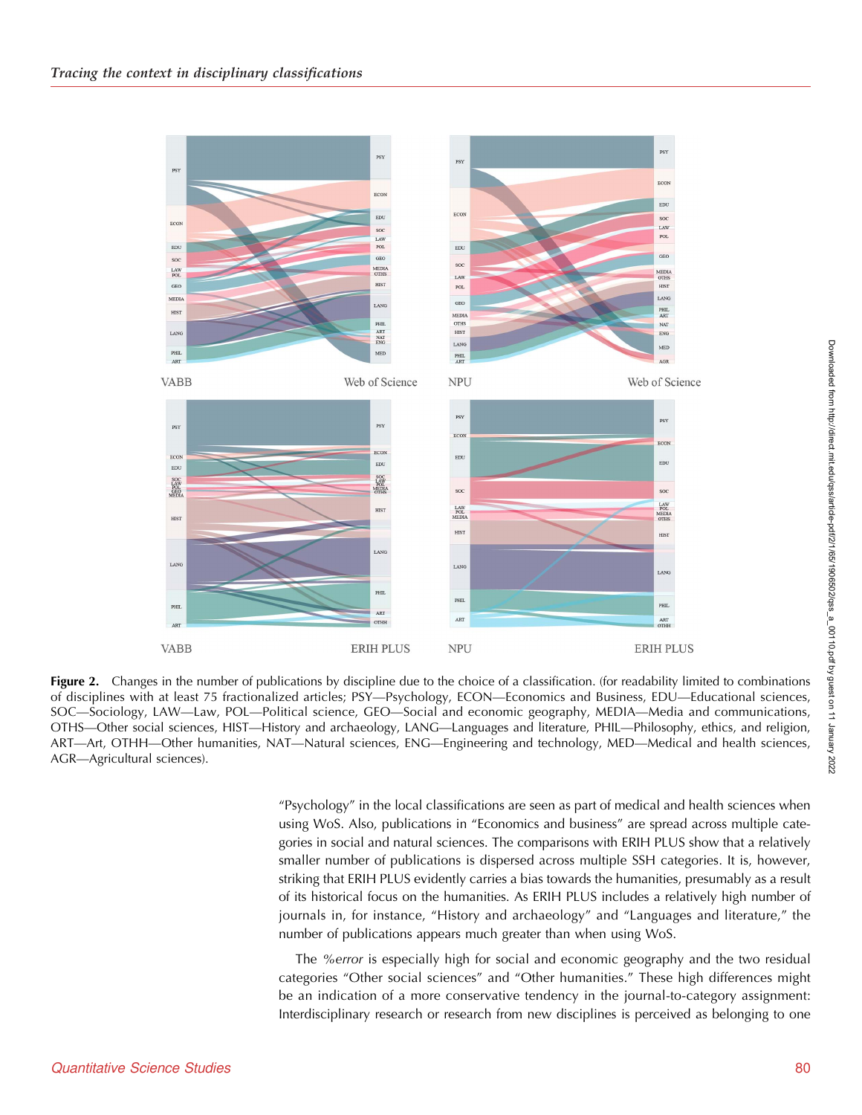<span id="page-15-0"></span>

Figure 2. Changes in the number of publications by discipline due to the choice of a classification. (for readability limited to combinations of disciplines with at least 75 fractionalized articles; PSY—Psychology, ECON—Economics and Business, EDU—Educational sciences, SOC—Sociology, LAW—Law, POL—Political science, GEO—Social and economic geography, MEDIA—Media and communications, OTHS—Other social sciences, HIST—History and archaeology, LANG—Languages and literature, PHIL—Philosophy, ethics, and religion, ART—Art, OTHH—Other humanities, NAT—Natural sciences, ENG—Engineering and technology, MED—Medical and health sciences, AGR—Agricultural sciences).

"Psychology" in the local classifications are seen as part of medical and health sciences when using WoS. Also, publications in "Economics and business" are spread across multiple categories in social and natural sciences. The comparisons with ERIH PLUS show that a relatively smaller number of publications is dispersed across multiple SSH categories. It is, however, striking that ERIH PLUS evidently carries a bias towards the humanities, presumably as a result of its historical focus on the humanities. As ERIH PLUS includes a relatively high number of journals in, for instance, "History and archaeology" and "Languages and literature," the number of publications appears much greater than when using WoS.

The %error is especially high for social and economic geography and the two residual categories "Other social sciences" and "Other humanities." These high differences might be an indication of a more conservative tendency in the journal-to-category assignment: Interdisciplinary research or research from new disciplines is perceived as belonging to one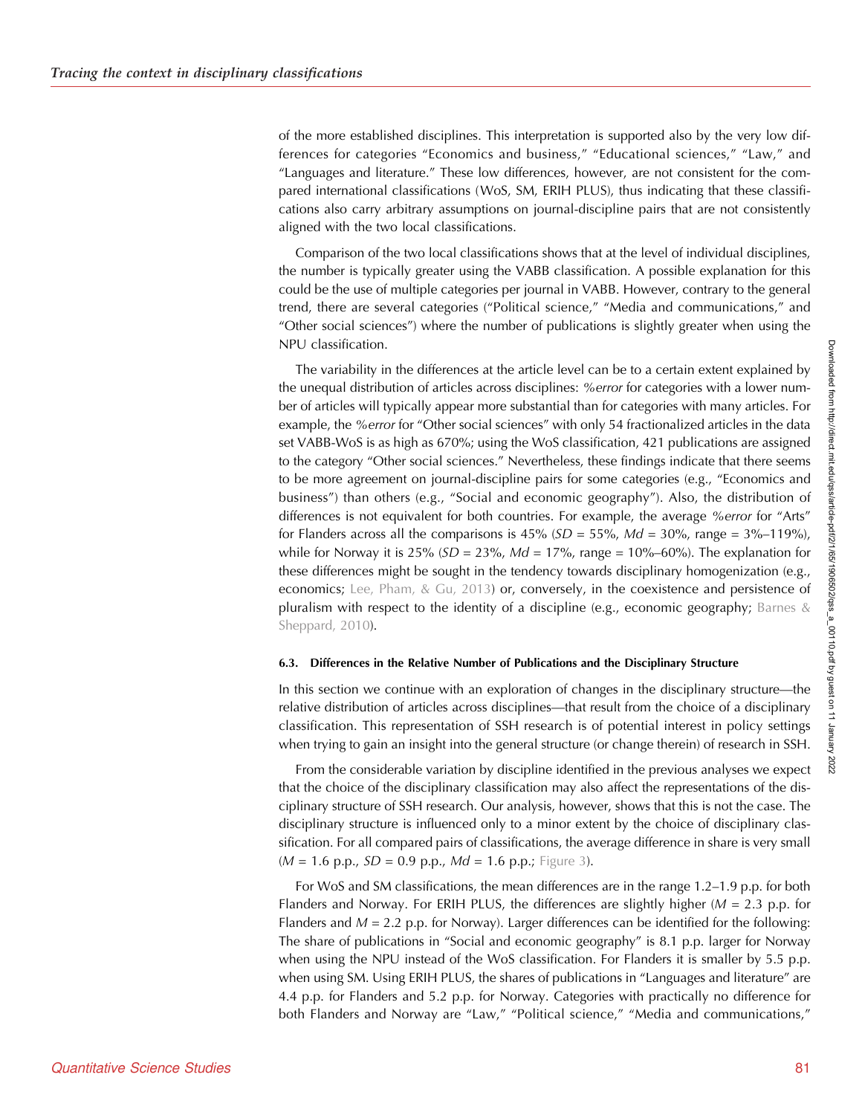of the more established disciplines. This interpretation is supported also by the very low differences for categories "Economics and business," "Educational sciences," "Law," and "Languages and literature." These low differences, however, are not consistent for the compared international classifications (WoS, SM, ERIH PLUS), thus indicating that these classifications also carry arbitrary assumptions on journal-discipline pairs that are not consistently aligned with the two local classifications.

Comparison of the two local classifications shows that at the level of individual disciplines, the number is typically greater using the VABB classification. A possible explanation for this could be the use of multiple categories per journal in VABB. However, contrary to the general trend, there are several categories ("Political science," "Media and communications," and "Other social sciences") where the number of publications is slightly greater when using the NPU classification.

The variability in the differences at the article level can be to a certain extent explained by the unequal distribution of articles across disciplines: %error for categories with a lower number of articles will typically appear more substantial than for categories with many articles. For example, the %error for "Other social sciences" with only 54 fractionalized articles in the data set VABB-WoS is as high as 670%; using the WoS classification, 421 publications are assigned to the category "Other social sciences." Nevertheless, these findings indicate that there seems to be more agreement on journal-discipline pairs for some categories (e.g., "Economics and business") than others (e.g., "Social and economic geography"). Also, the distribution of differences is not equivalent for both countries. For example, the average %error for "Arts" for Flanders across all the comparisons is  $45\%$  ( $SD = 55\%$ ,  $Md = 30\%$ , range =  $3\%$ –119%), while for Norway it is 25% ( $SD = 23\%$ ,  $Md = 17\%$ , range = 10%–60%). The explanation for these differences might be sought in the tendency towards disciplinary homogenization (e.g., economics; [Lee, Pham, & Gu, 2013](#page-22-0)) or, conversely, in the coexistence and persistence of pluralism with respect to the identity of a discipline (e.g., economic geography; Barnes  $\&$ [Sheppard, 2010\)](#page-21-0).

#### 6.3. Differences in the Relative Number of Publications and the Disciplinary Structure

In this section we continue with an exploration of changes in the disciplinary structure—the relative distribution of articles across disciplines—that result from the choice of a disciplinary classification. This representation of SSH research is of potential interest in policy settings when trying to gain an insight into the general structure (or change therein) of research in SSH.

From the considerable variation by discipline identified in the previous analyses we expect that the choice of the disciplinary classification may also affect the representations of the disciplinary structure of SSH research. Our analysis, however, shows that this is not the case. The disciplinary structure is influenced only to a minor extent by the choice of disciplinary classification. For all compared pairs of classifications, the average difference in share is very small  $(M = 1.6 \text{ p.p.}, SD = 0.9 \text{ p.p.}, Md = 1.6 \text{ p.p.};$  [Figure 3\)](#page-17-0).

For WoS and SM classifications, the mean differences are in the range 1.2–1.9 p.p. for both Flanders and Norway. For ERIH PLUS, the differences are slightly higher ( $M = 2.3$  p.p. for Flanders and  $M = 2.2$  p.p. for Norway). Larger differences can be identified for the following: The share of publications in "Social and economic geography" is 8.1 p.p. larger for Norway when using the NPU instead of the WoS classification. For Flanders it is smaller by 5.5 p.p. when using SM. Using ERIH PLUS, the shares of publications in "Languages and literature" are 4.4 p.p. for Flanders and 5.2 p.p. for Norway. Categories with practically no difference for both Flanders and Norway are "Law," "Political science," "Media and communications,"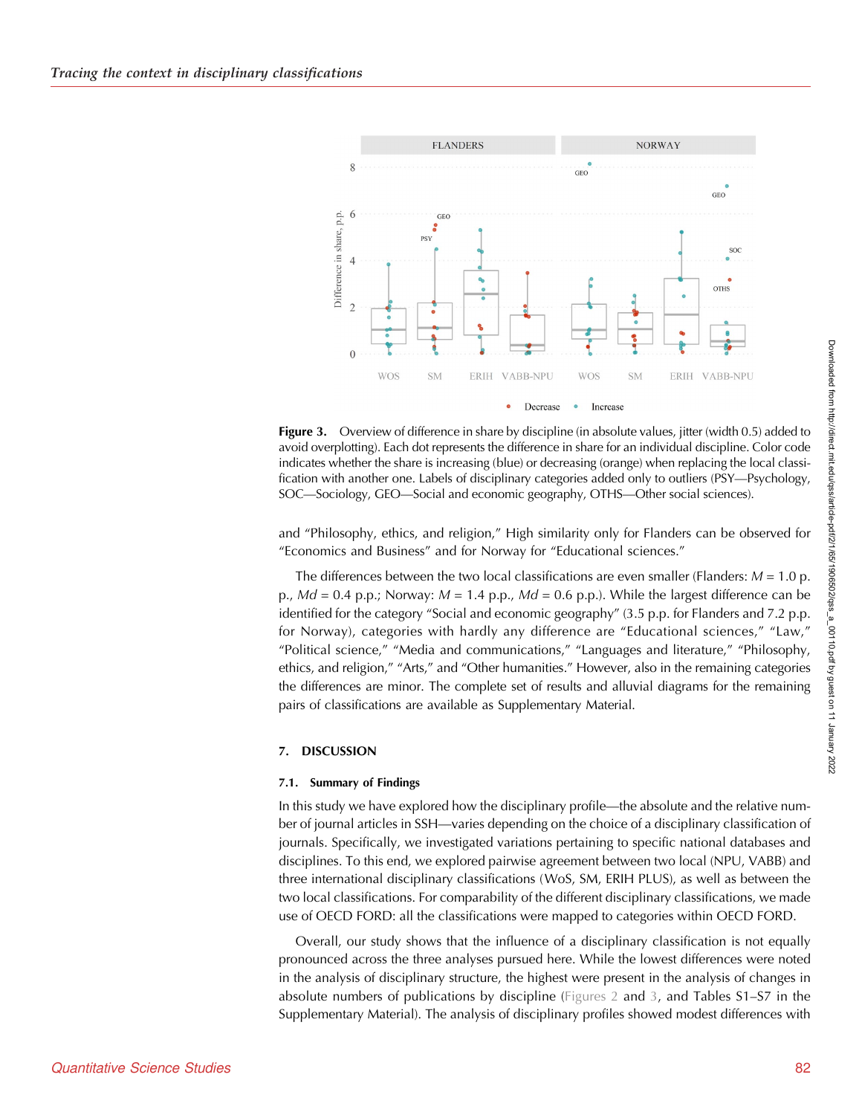<span id="page-17-0"></span>

Figure 3. Overview of difference in share by discipline (in absolute values, jitter (width 0.5) added to avoid overplotting). Each dot represents the difference in share for an individual discipline. Color code indicates whether the share is increasing (blue) or decreasing (orange) when replacing the local classification with another one. Labels of disciplinary categories added only to outliers (PSY—Psychology, SOC—Sociology, GEO—Social and economic geography, OTHS—Other social sciences).

and "Philosophy, ethics, and religion," High similarity only for Flanders can be observed for "Economics and Business" and for Norway for "Educational sciences."

The differences between the two local classifications are even smaller (Flanders:  $M = 1.0$  p. p.,  $Md = 0.4$  p.p.; Norway:  $M = 1.4$  p.p.,  $Md = 0.6$  p.p.). While the largest difference can be identified for the category "Social and economic geography" (3.5 p.p. for Flanders and 7.2 p.p. for Norway), categories with hardly any difference are "Educational sciences," "Law," "Political science," "Media and communications," "Languages and literature," "Philosophy, ethics, and religion," "Arts," and "Other humanities." However, also in the remaining categories the differences are minor. The complete set of results and alluvial diagrams for the remaining pairs of classifications are available as Supplementary Material.

#### 7. DISCUSSION

#### 7.1. Summary of Findings

In this study we have explored how the disciplinary profile—the absolute and the relative number of journal articles in SSH—varies depending on the choice of a disciplinary classification of journals. Specifically, we investigated variations pertaining to specific national databases and disciplines. To this end, we explored pairwise agreement between two local (NPU, VABB) and three international disciplinary classifications (WoS, SM, ERIH PLUS), as well as between the two local classifications. For comparability of the different disciplinary classifications, we made use of OECD FORD: all the classifications were mapped to categories within OECD FORD.

Overall, our study shows that the influence of a disciplinary classification is not equally pronounced across the three analyses pursued here. While the lowest differences were noted in the analysis of disciplinary structure, the highest were present in the analysis of changes in absolute numbers of publications by discipline [\(Figures 2](#page-15-0) and 3, and Tables S1–S7 in the Supplementary Material). The analysis of disciplinary profiles showed modest differences with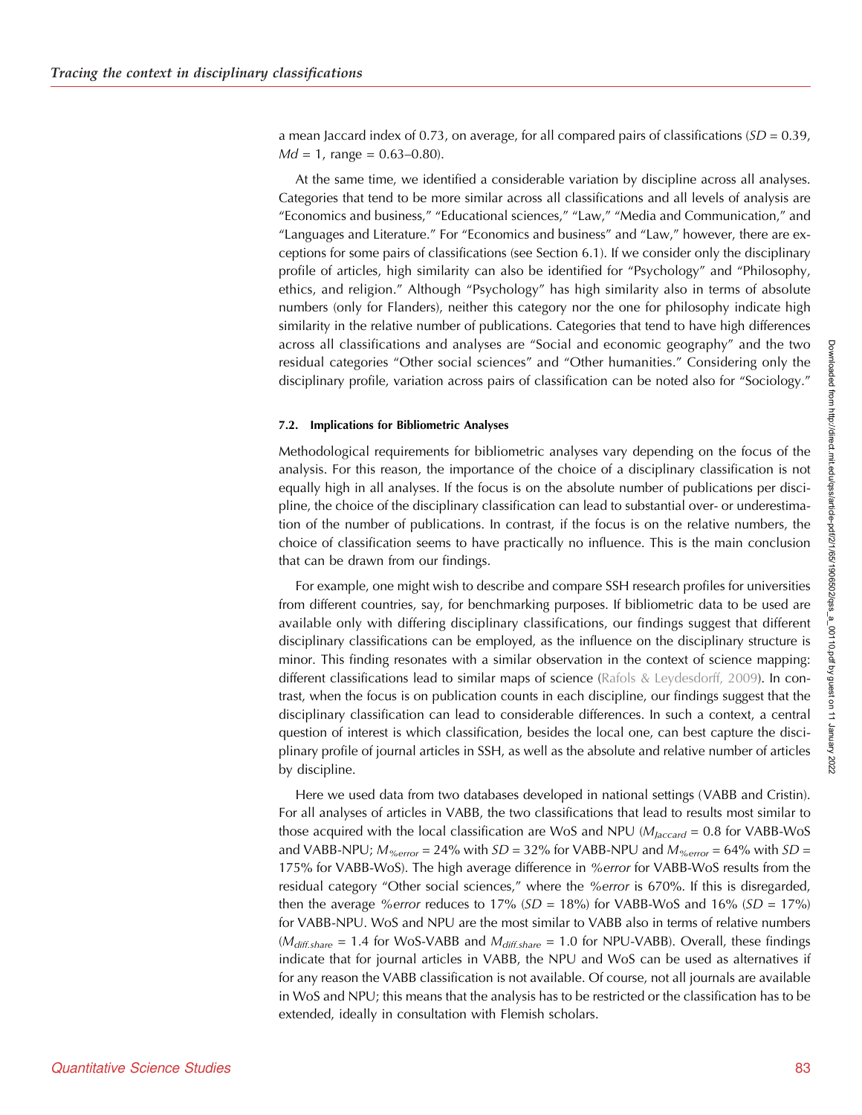a mean Jaccard index of 0.73, on average, for all compared pairs of classifications  $(SD = 0.39)$ ,  $Md = 1$ , range = 0.63–0.80).

At the same time, we identified a considerable variation by discipline across all analyses. Categories that tend to be more similar across all classifications and all levels of analysis are "Economics and business," "Educational sciences," "Law," "Media and Communication," and "Languages and Literature." For "Economics and business" and "Law," however, there are exceptions for some pairs of classifications (see Section 6.1). If we consider only the disciplinary profile of articles, high similarity can also be identified for "Psychology" and "Philosophy, ethics, and religion." Although "Psychology" has high similarity also in terms of absolute numbers (only for Flanders), neither this category nor the one for philosophy indicate high similarity in the relative number of publications. Categories that tend to have high differences across all classifications and analyses are "Social and economic geography" and the two residual categories "Other social sciences" and "Other humanities." Considering only the disciplinary profile, variation across pairs of classification can be noted also for "Sociology."

#### 7.2. Implications for Bibliometric Analyses

Methodological requirements for bibliometric analyses vary depending on the focus of the analysis. For this reason, the importance of the choice of a disciplinary classification is not equally high in all analyses. If the focus is on the absolute number of publications per discipline, the choice of the disciplinary classification can lead to substantial over- or underestimation of the number of publications. In contrast, if the focus is on the relative numbers, the choice of classification seems to have practically no influence. This is the main conclusion that can be drawn from our findings.

For example, one might wish to describe and compare SSH research profiles for universities from different countries, say, for benchmarking purposes. If bibliometric data to be used are available only with differing disciplinary classifications, our findings suggest that different disciplinary classifications can be employed, as the influence on the disciplinary structure is minor. This finding resonates with a similar observation in the context of science mapping: different classifications lead to similar maps of science [\(Rafols & Leydesdorff, 2009](#page-23-0)). In contrast, when the focus is on publication counts in each discipline, our findings suggest that the disciplinary classification can lead to considerable differences. In such a context, a central question of interest is which classification, besides the local one, can best capture the disciplinary profile of journal articles in SSH, as well as the absolute and relative number of articles by discipline.

Here we used data from two databases developed in national settings (VABB and Cristin). For all analyses of articles in VABB, the two classifications that lead to results most similar to those acquired with the local classification are WoS and NPU ( $M_{Jaccard} = 0.8$  for VABB-WoS and VABB-NPU;  $M_{\%error} = 24\%$  with  $SD = 32\%$  for VABB-NPU and  $M_{\%error} = 64\%$  with  $SD =$ 175% for VABB-WoS). The high average difference in %error for VABB-WoS results from the residual category "Other social sciences," where the %error is 670%. If this is disregarded, then the average % error reduces to 17% ( $SD = 18$ %) for VABB-WoS and 16% ( $SD = 17$ %) for VABB-NPU. WoS and NPU are the most similar to VABB also in terms of relative numbers  $(M<sub>diff.share</sub> = 1.4$  for WoS-VABB and  $M<sub>diff.share</sub> = 1.0$  for NPU-VABB). Overall, these findings indicate that for journal articles in VABB, the NPU and WoS can be used as alternatives if for any reason the VABB classification is not available. Of course, not all journals are available in WoS and NPU; this means that the analysis has to be restricted or the classification has to be extended, ideally in consultation with Flemish scholars.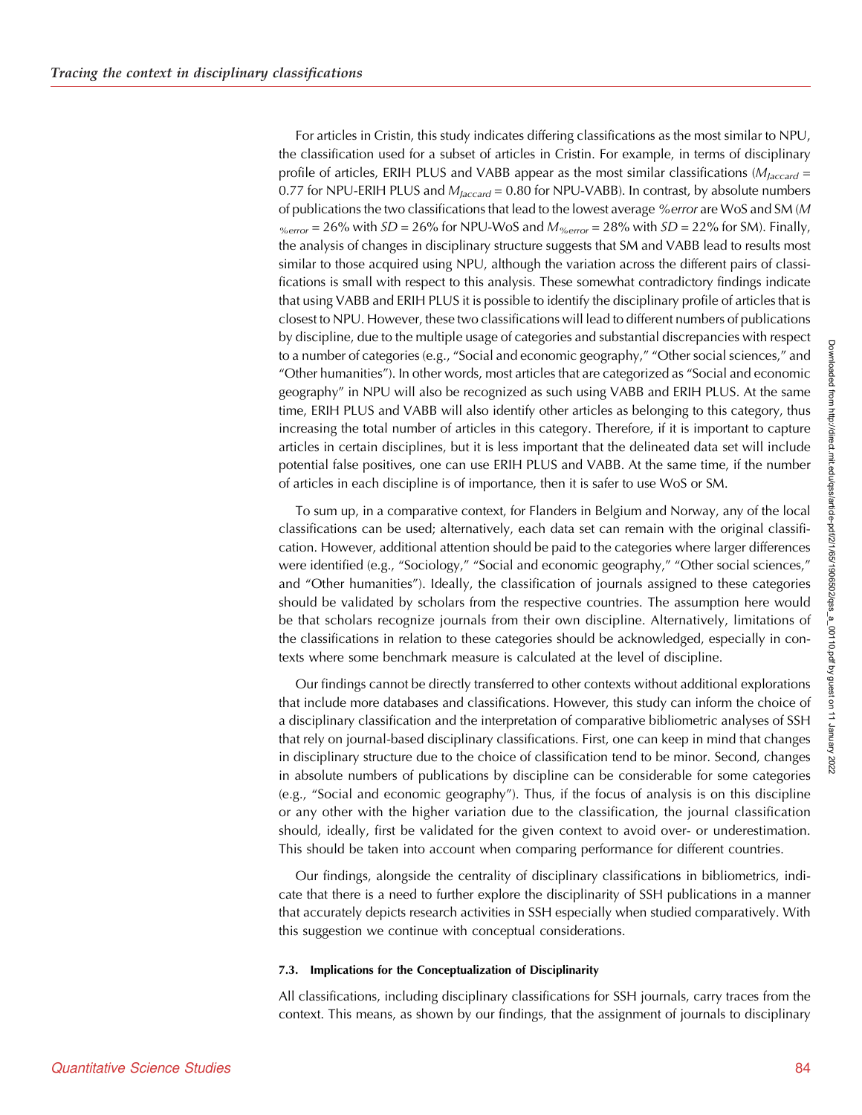For articles in Cristin, this study indicates differing classifications as the most similar to NPU, the classification used for a subset of articles in Cristin. For example, in terms of disciplinary profile of articles, ERIH PLUS and VABB appear as the most similar classifications ( $M_{\text{Jaccard}} =$ 0.77 for NPU-ERIH PLUS and  $M_{Jaccard}$  = 0.80 for NPU-VABB). In contrast, by absolute numbers of publications the two classifications that lead to the lowest average % error are WoS and SM (M  $\gamma_{\text{error}}$  = 26% with *SD* = 26% for NPU-WoS and  $M_{\gamma_{\text{error}}}$  = 28% with *SD* = 22% for SM). Finally, the analysis of changes in disciplinary structure suggests that SM and VABB lead to results most similar to those acquired using NPU, although the variation across the different pairs of classifications is small with respect to this analysis. These somewhat contradictory findings indicate that using VABB and ERIH PLUS it is possible to identify the disciplinary profile of articles that is closest to NPU. However, these two classifications will lead to different numbers of publications by discipline, due to the multiple usage of categories and substantial discrepancies with respect to a number of categories (e.g., "Social and economic geography," "Other social sciences," and "Other humanities"). In other words, most articles that are categorized as "Social and economic geography" in NPU will also be recognized as such using VABB and ERIH PLUS. At the same time, ERIH PLUS and VABB will also identify other articles as belonging to this category, thus increasing the total number of articles in this category. Therefore, if it is important to capture articles in certain disciplines, but it is less important that the delineated data set will include potential false positives, one can use ERIH PLUS and VABB. At the same time, if the number of articles in each discipline is of importance, then it is safer to use WoS or SM.

To sum up, in a comparative context, for Flanders in Belgium and Norway, any of the local classifications can be used; alternatively, each data set can remain with the original classification. However, additional attention should be paid to the categories where larger differences were identified (e.g., "Sociology," "Social and economic geography," "Other social sciences," and "Other humanities"). Ideally, the classification of journals assigned to these categories should be validated by scholars from the respective countries. The assumption here would be that scholars recognize journals from their own discipline. Alternatively, limitations of the classifications in relation to these categories should be acknowledged, especially in contexts where some benchmark measure is calculated at the level of discipline.

Our findings cannot be directly transferred to other contexts without additional explorations that include more databases and classifications. However, this study can inform the choice of a disciplinary classification and the interpretation of comparative bibliometric analyses of SSH that rely on journal-based disciplinary classifications. First, one can keep in mind that changes in disciplinary structure due to the choice of classification tend to be minor. Second, changes in absolute numbers of publications by discipline can be considerable for some categories (e.g., "Social and economic geography"). Thus, if the focus of analysis is on this discipline or any other with the higher variation due to the classification, the journal classification should, ideally, first be validated for the given context to avoid over- or underestimation. This should be taken into account when comparing performance for different countries.

Our findings, alongside the centrality of disciplinary classifications in bibliometrics, indicate that there is a need to further explore the disciplinarity of SSH publications in a manner that accurately depicts research activities in SSH especially when studied comparatively. With this suggestion we continue with conceptual considerations.

#### 7.3. Implications for the Conceptualization of Disciplinarity

All classifications, including disciplinary classifications for SSH journals, carry traces from the context. This means, as shown by our findings, that the assignment of journals to disciplinary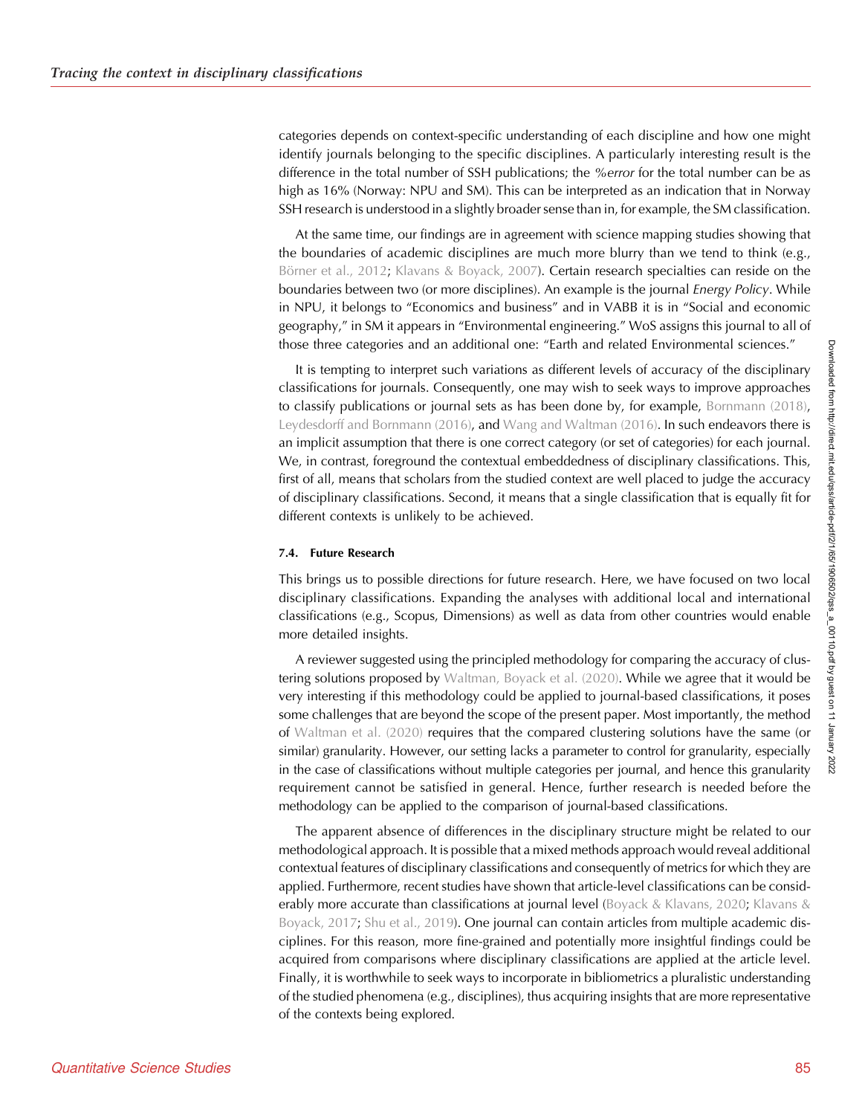categories depends on context-specific understanding of each discipline and how one might identify journals belonging to the specific disciplines. A particularly interesting result is the difference in the total number of SSH publications; the %error for the total number can be as high as 16% (Norway: NPU and SM). This can be interpreted as an indication that in Norway SSH research is understood in a slightly broader sense than in, for example, the SM classification.

At the same time, our findings are in agreement with science mapping studies showing that the boundaries of academic disciplines are much more blurry than we tend to think (e.g., [Börner et al., 2012](#page-21-0); [Klavans & Boyack, 2007](#page-22-0)). Certain research specialties can reside on the boundaries between two (or more disciplines). An example is the journal Energy Policy. While in NPU, it belongs to "Economics and business" and in VABB it is in "Social and economic geography," in SM it appears in "Environmental engineering." WoS assigns this journal to all of those three categories and an additional one: "Earth and related Environmental sciences."

It is tempting to interpret such variations as different levels of accuracy of the disciplinary classifications for journals. Consequently, one may wish to seek ways to improve approaches to classify publications or journal sets as has been done by, for example, [Bornmann \(2018\)](#page-21-0), [Leydesdorff and Bornmann \(2016\),](#page-22-0) and [Wang and Waltman \(2016\)](#page-23-0). In such endeavors there is an implicit assumption that there is one correct category (or set of categories) for each journal. We, in contrast, foreground the contextual embeddedness of disciplinary classifications. This, first of all, means that scholars from the studied context are well placed to judge the accuracy of disciplinary classifications. Second, it means that a single classification that is equally fit for different contexts is unlikely to be achieved.

## 7.4. Future Research

This brings us to possible directions for future research. Here, we have focused on two local disciplinary classifications. Expanding the analyses with additional local and international classifications (e.g., Scopus, Dimensions) as well as data from other countries would enable more detailed insights.

A reviewer suggested using the principled methodology for comparing the accuracy of clustering solutions proposed by [Waltman, Boyack et al. \(2020\)](#page-23-0). While we agree that it would be very interesting if this methodology could be applied to journal-based classifications, it poses some challenges that are beyond the scope of the present paper. Most importantly, the method of [Waltman et al. \(2020\)](#page-23-0) requires that the compared clustering solutions have the same (or similar) granularity. However, our setting lacks a parameter to control for granularity, especially in the case of classifications without multiple categories per journal, and hence this granularity requirement cannot be satisfied in general. Hence, further research is needed before the methodology can be applied to the comparison of journal-based classifications.

The apparent absence of differences in the disciplinary structure might be related to our methodological approach. It is possible that a mixed methods approach would reveal additional contextual features of disciplinary classifications and consequently of metrics for which they are applied. Furthermore, recent studies have shown that article-level classifications can be consid-erably more accurate than classifications at journal level ([Boyack & Klavans, 2020](#page-21-0); [Klavans &](#page-22-0) [Boyack, 2017;](#page-22-0) [Shu et al., 2019](#page-23-0)). One journal can contain articles from multiple academic disciplines. For this reason, more fine-grained and potentially more insightful findings could be acquired from comparisons where disciplinary classifications are applied at the article level. Finally, it is worthwhile to seek ways to incorporate in bibliometrics a pluralistic understanding of the studied phenomena (e.g., disciplines), thus acquiring insights that are more representative of the contexts being explored.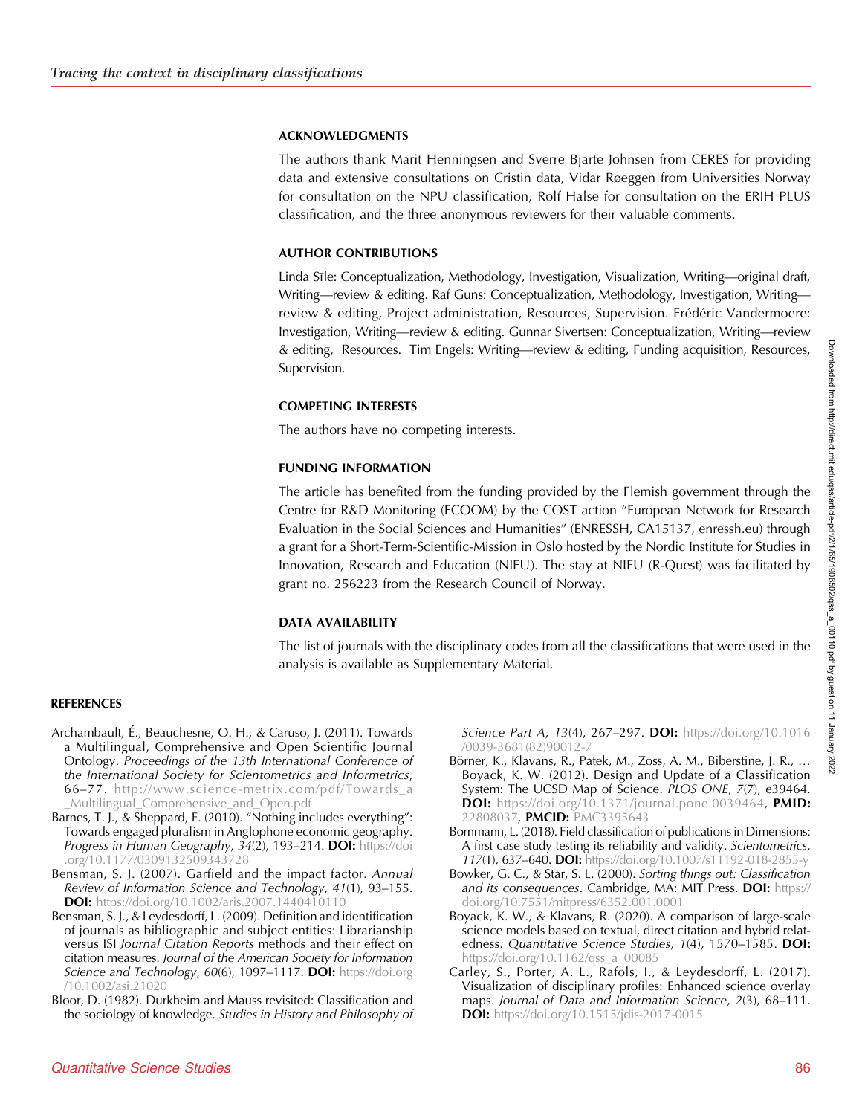#### <span id="page-21-0"></span>ACKNOWLEDGMENTS

The authors thank Marit Henningsen and Sverre Bjarte Johnsen from CERES for providing data and extensive consultations on Cristin data, Vidar Røeggen from Universities Norway for consultation on the NPU classification, Rolf Halse for consultation on the ERIH PLUS classification, and the three anonymous reviewers for their valuable comments.

## AUTHOR CONTRIBUTIONS

Linda Sıle: Conceptualization, Methodology, Investigation, Visualization, Writing—original draft, Writing—review & editing. Raf Guns: Conceptualization, Methodology, Investigation, Writing review & editing, Project administration, Resources, Supervision. Frédéric Vandermoere: Investigation, Writing—review & editing. Gunnar Sivertsen: Conceptualization, Writing—review & editing, Resources. Tim Engels: Writing—review & editing, Funding acquisition, Resources, Supervision.

## COMPETING INTERESTS

The authors have no competing interests.

#### FUNDING INFORMATION

The article has benefited from the funding provided by the Flemish government through the Centre for R&D Monitoring (ECOOM) by the COST action "European Network for Research Evaluation in the Social Sciences and Humanities" (ENRESSH, CA15137, enressh.eu) through a grant for a Short-Term-Scientific-Mission in Oslo hosted by the Nordic Institute for Studies in Innovation, Research and Education (NIFU). The stay at NIFU (R-Quest) was facilitated by grant no. 256223 from the Research Council of Norway.

## DATA AVAILABILITY

The list of journals with the disciplinary codes from all the classifications that were used in the analysis is available as Supplementary Material.

#### **REFERENCES**

- Archambault, É., Beauchesne, O. H., & Caruso, J. (2011). Towards a Multilingual, Comprehensive and Open Scientific Journal Ontology. Proceedings of the 13th International Conference of the International Society for Scientometrics and Informetrics, 66–77. [http://www.science-metrix.com/pdf/Towards\\_a](http://www.science-metrix.com/pdf/Towards_a_Multilingual_Comprehensive_and_Open.pdf) [\\_Multilingual\\_Comprehensive\\_and\\_Open.pdf](http://www.science-metrix.com/pdf/Towards_a_Multilingual_Comprehensive_and_Open.pdf)
- Barnes, T. J., & Sheppard, E. (2010). "Nothing includes everything": Towards engaged pluralism in Anglophone economic geography. Progress in Human Geography, 34(2), 193-214. DOI: [https://doi](https://doi.org/10.1177/0309132509343728) [.org/10.1177/0309132509343728](https://doi.org/10.1177/0309132509343728)
- Bensman, S. J. (2007). Garfield and the impact factor. Annual Review of Information Science and Technology, 41(1), 93–155. **DOI:** <https://doi.org/10.1002/aris.2007.1440410110>
- Bensman, S. J., & Leydesdorff, L. (2009). Definition and identification of journals as bibliographic and subject entities: Librarianship versus ISI Journal Citation Reports methods and their effect on citation measures. Journal of the American Society for Information Science and Technology, 60(6), 1097-1117. DOI: [https://doi.org](https://doi.org/10.1002/asi.21020) [/10.1002/asi.21020](https://doi.org/10.1002/asi.21020)
- Bloor, D. (1982). Durkheim and Mauss revisited: Classification and the sociology of knowledge. Studies in History and Philosophy of

Science Part A, 13(4), 267–297. **DOI:** [https://doi.org/10.1016](https://doi.org/10.1016/0039-3681(82)90012-7) [/0039-3681\(82\)90012-7](https://doi.org/10.1016/0039-3681(82)90012-7)

- Börner, K., Klavans, R., Patek, M., Zoss, A. M., Biberstine, J. R., … Boyack, K. W. (2012). Design and Update of a Classification System: The UCSD Map of Science. PLOS ONE, 7(7), e39464. **DOI:** <https://doi.org/10.1371/journal.pone.0039464>, PMID: [22808037,](https://europepmc.org/article/MED/22808037) PMCID: [PMC3395643](https://www.ncbi.nlm.nih.gov/pmc/articles/PMC3395643)
- Bornmann, L. (2018). Field classification of publications in Dimensions: A first case study testing its reliability and validity. Scientometrics, 117(1), 637–640. DOI: <https://doi.org/10.1007/s11192-018-2855-y>
- Bowker, G. C., & Star, S. L. (2000). Sorting things out: Classification and its consequences. Cambridge, MA: MIT Press. DOI: [https://](https://doi.org/10.7551/mitpress/6352.001.0001) [doi.org/10.7551/mitpress/6352.001.0001](https://doi.org/10.7551/mitpress/6352.001.0001)
- Boyack, K. W., & Klavans, R. (2020). A comparison of large-scale science models based on textual, direct citation and hybrid relatedness. Quantitative Science Studies, 1(4), 1570-1585. DOI: [https://doi.org/10.1162/qss\\_a\\_00085](https://doi.org/10.1162/qss_a_00085)
- Carley, S., Porter, A. L., Rafols, I., & Leydesdorff, L. (2017). Visualization of disciplinary profiles: Enhanced science overlay maps. Journal of Data and Information Science, 2(3), 68–111. **DOI:** <https://doi.org/10.1515/jdis-2017-0015>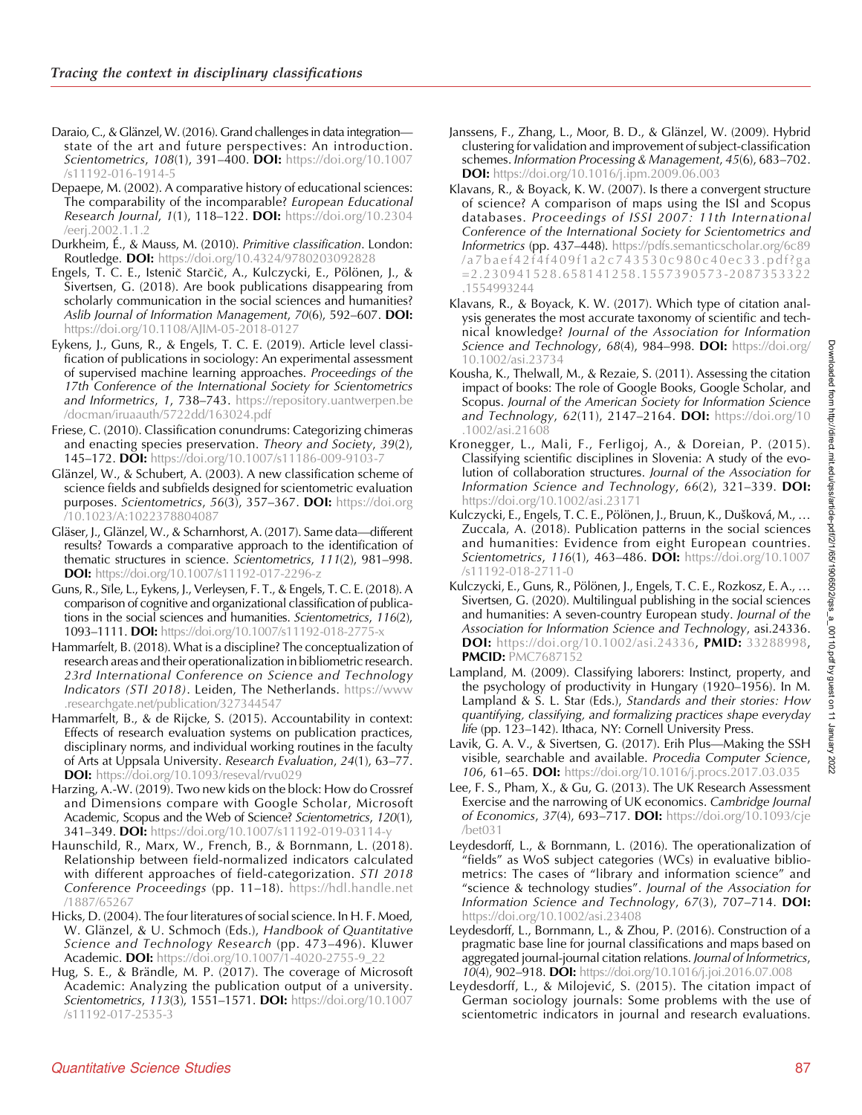- <span id="page-22-0"></span>Daraio, C., & Glänzel, W. (2016). Grand challenges in data integration state of the art and future perspectives: An introduction. Scientometrics, 108(1), 391-400. DOI: [https://doi.org/10.1007](https://doi.org/10.1007/s11192-016-1914-5) [/s11192-016-1914-5](https://doi.org/10.1007/s11192-016-1914-5)
- Depaepe, M. (2002). A comparative history of educational sciences: The comparability of the incomparable? European Educational Research Journal, 1(1), 118-122. DOI: [https://doi.org/10.2304](https://doi.org/10.2304/eerj.2002.1.1.2) [/eerj.2002.1.1.2](https://doi.org/10.2304/eerj.2002.1.1.2)
- Durkheim, É., & Mauss, M. (2010). Primitive classification. London: Routledge. DOI: <https://doi.org/10.4324/9780203092828>
- Engels, T. C. E., Istenic Starcic, A., Kulczycki, E., Pölönen, J., & Sivertsen, G. (2018). Are book publications disappearing from scholarly communication in the social sciences and humanities? Aslib Journal of Information Management, 70(6), 592-607. DOI: <https://doi.org/10.1108/AJIM-05-2018-0127>
- Eykens, J., Guns, R., & Engels, T. C. E. (2019). Article level classification of publications in sociology: An experimental assessment of supervised machine learning approaches. Proceedings of the 17th Conference of the International Society for Scientometrics and Informetrics, 1, 738-743. [https://repository.uantwerpen.be](https://repository.uantwerpen.be/docman/iruaauth/5722dd/163024.pdf) [/docman/iruaauth/5722dd/163024.pdf](https://repository.uantwerpen.be/docman/iruaauth/5722dd/163024.pdf)
- Friese, C. (2010). Classification conundrums: Categorizing chimeras and enacting species preservation. Theory and Society, 39(2), 145–172. DOI: https://doi.org/10.1007/s11186-009-9103-
- Glänzel, W., & Schubert, A. (2003). A new classification scheme of science fields and subfields designed for scientometric evaluation purposes. Scientometrics, 56(3), 357-367. DOI: [https://doi.org](https://doi.org/10.1023/A:1022378804087) [/10.1023/A:1022378804087](https://doi.org/10.1023/A:1022378804087)
- Gläser, J., Glänzel, W., & Scharnhorst, A. (2017). Same data—different results? Towards a comparative approach to the identification of thematic structures in science. Scientometrics, 111(2), 981–998. **DOI:** <https://doi.org/10.1007/s11192-017-2296-z>
- Guns, R., Sıle, L., Eykens, J., Verleysen, F. T., & Engels, T. C. E. (2018). A comparison of cognitive and organizational classification of publications in the social sciences and humanities. Scientometrics, 116(2), 1093-1111. DOI: <https://doi.org/10.1007/s11192-018-2775-x>
- Hammarfelt, B. (2018). What is a discipline? The conceptualization of research areas and their operationalization in bibliometric research. 23rd International Conference on Science and Technology Indicators (STI 2018). Leiden, The Netherlands. [https://www](https://www.researchgate.net/publication/327344547) [.researchgate.net/publication/327344547](https://www.researchgate.net/publication/327344547)
- Hammarfelt, B., & de Rijcke, S. (2015). Accountability in context: Effects of research evaluation systems on publication practices, disciplinary norms, and individual working routines in the faculty of Arts at Uppsala University. Research Evaluation, 24(1), 63–77. **DOI:** <https://doi.org/10.1093/reseval/rvu029>
- Harzing, A.-W. (2019). Two new kids on the block: How do Crossref and Dimensions compare with Google Scholar, Microsoft Academic, Scopus and the Web of Science? Scientometrics, 120(1), 341–349. DOI: https://doi.org/10.1007/s11192-019-03114-
- Haunschild, R., Marx, W., French, B., & Bornmann, L. (2018). Relationship between field-normalized indicators calculated with different approaches of field-categorization. STI 2018 Conference Proceedings (pp. 11–18). [https://hdl.handle.net](https://hdl.handle.net/1887/65267) [/1887/65267](https://hdl.handle.net/1887/65267)
- Hicks, D. (2004). The four literatures of social science. In H. F. Moed, W. Glänzel, & U. Schmoch (Eds.), Handbook of Quantitative Science and Technology Research (pp. 473–496). Kluwer Academic. DOI: [https://doi.org/10.1007/1-4020-2755-9\\_22](https://doi.org/10.1007/1-4020-2755-9_22)
- Hug, S. E., & Brändle, M. P. (2017). The coverage of Microsoft Academic: Analyzing the publication output of a university. Scientometrics, 113(3), 1551-1571. DOI: [https://doi.org/10.1007](https://doi.org/10.1007/s11192-017-2535-3) [/s11192-017-2535-3](https://doi.org/10.1007/s11192-017-2535-3)
- Janssens, F., Zhang, L., Moor, B. D., & Glänzel, W. (2009). Hybrid clustering for validation and improvement of subject-classification schemes. Information Processing & Management, 45(6), 683–702. DOI: <https://doi.org/10.1016/j.ipm.2009.06.003>
- Klavans, R., & Boyack, K. W. (2007). Is there a convergent structure of science? A comparison of maps using the ISI and Scopus databases. Proceedings of ISSI 2007: 11th International Conference of the International Society for Scientometrics and Informetrics (pp. 437–448). [https://pdfs.semanticscholar.org/6c89](https://pdfs.semanticscholar.org/6c89/a7baef42f4f409f1a2c743530c980c40ec33.pdf?ga=2.230941528.658141258.1557390573-2087353322.1554993244) [/a7baef42f4f409f1a2c743530c980c40ec33.pdf?ga](https://pdfs.semanticscholar.org/6c89/a7baef42f4f409f1a2c743530c980c40ec33.pdf?ga=2.230941528.658141258.1557390573-2087353322.1554993244) [=2.230941528.658141258.1557390573-2087353322](https://pdfs.semanticscholar.org/6c89/a7baef42f4f409f1a2c743530c980c40ec33.pdf?ga=2.230941528.658141258.1557390573-2087353322.1554993244) [.1554993244](https://pdfs.semanticscholar.org/6c89/a7baef42f4f409f1a2c743530c980c40ec33.pdf?ga=2.230941528.658141258.1557390573-2087353322.1554993244)
- Klavans, R., & Boyack, K. W. (2017). Which type of citation analysis generates the most accurate taxonomy of scientific and technical knowledge? Journal of the Association for Information Science and Technology, 68(4), 984-998. DOI: [https://doi.org/](https://doi.org/10.1002/asi.23734) [10.1002/asi.23734](https://doi.org/10.1002/asi.23734)
- Kousha, K., Thelwall, M., & Rezaie, S. (2011). Assessing the citation impact of books: The role of Google Books, Google Scholar, and Scopus. Journal of the American Society for Information Science and Technology, 62(11), 2147-2164. DOI: [https://doi.org/10](https://doi.org/10.1002/asi.21608) [.1002/asi.21608](https://doi.org/10.1002/asi.21608)
- Kronegger, L., Mali, F., Ferligoj, A., & Doreian, P. (2015). Classifying scientific disciplines in Slovenia: A study of the evolution of collaboration structures. Journal of the Association for Information Science and Technology, 66(2), 321-339. DOI: <https://doi.org/10.1002/asi.23171>
- Kulczycki, E., Engels, T. C. E., Pölönen, J., Bruun, K., Dušková, M., … Zuccala, A. (2018). Publication patterns in the social sciences and humanities: Evidence from eight European countries. Scientometrics, 116(1), 463-486. DOI: [https://doi.org/10.1007](https://doi.org/10.1007/s11192-018-2711-0) [/s11192-018-2711-0](https://doi.org/10.1007/s11192-018-2711-0)
- Kulczycki, E., Guns, R., Pölönen, J., Engels, T. C. E., Rozkosz, E. A., … Sivertsen, G. (2020). Multilingual publishing in the social sciences and humanities: A seven-country European study. Journal of the Association for Information Science and Technology, asi.24336. **DOI:** [https://doi.org/10.1002/asi.24336,](https://doi.org/10.1002/asi.24336) **PMID:** [33288998,](https://europepmc.org/article/MED/33288998) **PMCID: [PMC7687152](https://www.ncbi.nlm.nih.gov/pmc/articles/PMC7687152)**
- Lampland, M. (2009). Classifying laborers: Instinct, property, and the psychology of productivity in Hungary (1920–1956). In M. Lampland & S. L. Star (Eds.), Standards and their stories: How quantifying, classifying, and formalizing practices shape everyday life (pp. 123–142). Ithaca, NY: Cornell University Press.
- Lavik, G. A. V., & Sivertsen, G. (2017). Erih Plus—Making the SSH visible, searchable and available. Procedia Computer Science, 106, 61-65. DOI: <https://doi.org/10.1016/j.procs.2017.03.035>
- Lee, F. S., Pham, X., & Gu, G. (2013). The UK Research Assessment Exercise and the narrowing of UK economics. Cambridge Journal of Economics, 37(4), 693-717. DOI: [https://doi.org/10.1093/cje](https://doi.org/10.1093/cje/bet031) [/bet031](https://doi.org/10.1093/cje/bet031)
- Leydesdorff, L., & Bornmann, L. (2016). The operationalization of "fields" as WoS subject categories (WCs) in evaluative bibliometrics: The cases of "library and information science" and "science & technology studies". Journal of the Association for Information Science and Technology, 67(3), 707–714. **DOI:** <https://doi.org/10.1002/asi.23408>
- Leydesdorff, L., Bornmann, L., & Zhou, P. (2016). Construction of a pragmatic base line for journal classifications and maps based on aggregated journal-journal citation relations. Journal of Informetrics, 10(4), 902–918. DOI: <https://doi.org/10.1016/j.joi.2016.07.008>
- Leydesdorff, L., & Milojević, S. (2015). The citation impact of German sociology journals: Some problems with the use of scientometric indicators in journal and research evaluations.